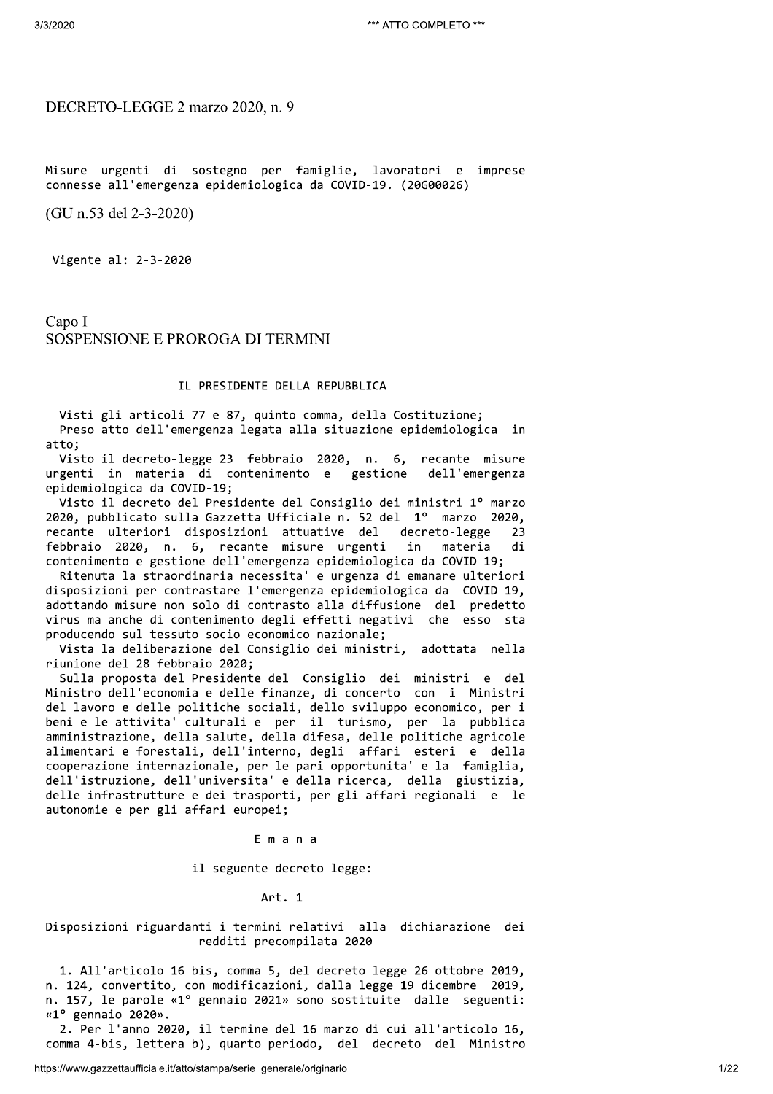# DECRETO-LEGGE 2 marzo 2020, n. 9

Misure urgenti di sostegno per famiglie, lavoratori e imprese connesse all'emergenza epidemiologica da COVID-19. (20G00026)

(GU n.53 del 2-3-2020)

Vigente al: 2-3-2020

Capo I SOSPENSIONE E PROROGA DI TERMINI

# IL PRESIDENTE DELLA REPUBBLICA

Visti gli articoli 77 e 87, quinto comma, della Costituzione; Preso atto dell'emergenza legata alla situazione epidemiologica in atto;

Visto il decreto-legge 23 febbraio 2020, n. 6, recante misure urgenti in materia di contenimento e gestione dell'emergenza epidemiologica da COVID-19;

Visto il decreto del Presidente del Consiglio dei ministri 1º marzo 2020, pubblicato sulla Gazzetta Ufficiale n. 52 del 1º marzo 2020, recante ulteriori disposizioni attuative del decreto-legge 23 febbraio 2020, n. 6, recante misure urgenti in materia di contenimento e gestione dell'emergenza epidemiologica da COVID-19;

Ritenuta la straordinaria necessita' e urgenza di emanare ulteriori disposizioni per contrastare l'emergenza epidemiologica da COVID-19, adottando misure non solo di contrasto alla diffusione del predetto virus ma anche di contenimento degli effetti negativi che esso sta producendo sul tessuto socio-economico nazionale;

Vista la deliberazione del Consiglio dei ministri, adottata nella riunione del 28 febbraio 2020;

Sulla proposta del Presidente del Consiglio dei ministri e del Ministro dell'economia e delle finanze, di concerto con i Ministri del lavoro e delle politiche sociali, dello sviluppo economico, per i beni e le attivita' culturali e per il turismo, per la pubblica amministrazione, della salute, della difesa, delle politiche agricole alimentari e forestali, dell'interno, degli affari esteri e della cooperazione internazionale, per le pari opportunita' e la famiglia, dell'istruzione, dell'universita' e della ricerca, della giustizia, delle infrastrutture e dei trasporti, per gli affari regionali e le autonomie e per gli affari europei;

Emana

il seguente decreto-legge:

### Art. 1

# Disposizioni riguardanti i termini relativi alla dichiarazione dei redditi precompilata 2020

1. All'articolo 16-bis, comma 5, del decreto-legge 26 ottobre 2019, n. 124, convertito, con modificazioni, dalla legge 19 dicembre 2019, n. 157, le parole «1° gennaio 2021» sono sostituite dalle seguenti: «1° gennaio 2020».

2. Per l'anno 2020, il termine del 16 marzo di cui all'articolo 16, comma 4-bis, lettera b), quarto periodo, del decreto del Ministro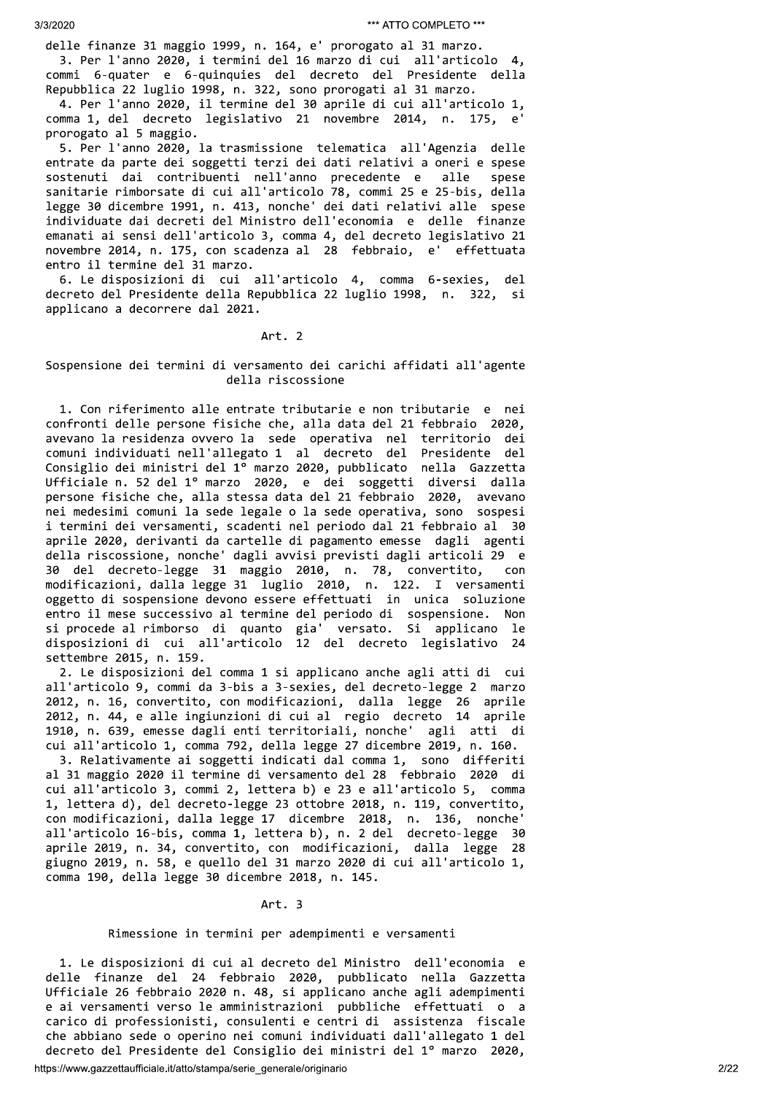delle finanze 31 maggio 1999, n. 164, e' prorogato al 31 marzo. 3. Per l'anno 2020, i termini del 16 marzo di cui all'articolo 4, commi 6-quater e 6-quinquies del decreto del Presidente della Repubblica 22 luglio 1998, n. 322, sono prorogati al 31 marzo.

4. Per l'anno 2020, il termine del 30 aprile di cui all'articolo 1, comma 1, del decreto legislativo 21 novembre 2014, n. 175, e' prorogato al 5 maggio.

5. Per l'anno 2020, la trasmissione telematica all'Agenzia delle entrate da parte dei soggetti terzi dei dati relativi a oneri e spese sostenuti dai contribuenti nell'anno precedente e alle spese sanitarie rimborsate di cui all'articolo 78, commi 25 e 25-bis, della legge 30 dicembre 1991, n. 413, nonche' dei dati relativi alle spese individuate dai decreti del Ministro dell'economia e delle finanze emanati ai sensi dell'articolo 3, comma 4, del decreto legislativo 21 novembre 2014, n. 175, con scadenza al 28 febbraio, e' effettuata entro il termine del 31 marzo.

6. Le disposizioni di cui all'articolo 4, comma 6-sexies, del decreto del Presidente della Repubblica 22 luglio 1998, n. 322, si applicano a decorrere dal 2021.

## Art. 2

# Sospensione dei termini di versamento dei carichi affidati all'agente della riscossione

1. Con riferimento alle entrate tributarie e non tributarie e nei confronti delle persone fisiche che, alla data del 21 febbraio 2020, avevano la residenza ovvero la sede operativa nel territorio dei comuni individuati nell'allegato 1 al decreto del Presidente del Consiglio dei ministri del 1º marzo 2020, pubblicato nella Gazzetta Ufficiale n. 52 del 1º marzo 2020, e dei soggetti diversi dalla persone fisiche che, alla stessa data del 21 febbraio 2020, avevano nei medesimi comuni la sede legale o la sede operativa, sono sospesi i termini dei versamenti, scadenti nel periodo dal 21 febbraio al 30 aprile 2020, derivanti da cartelle di pagamento emesse dagli agenti della riscossione, nonche' dagli avvisi previsti dagli articoli 29 e 30 del decreto-legge 31 maggio 2010, n. 78, convertito, con modificazioni, dalla legge 31 luglio 2010, n. 122. I versamenti oggetto di sospensione devono essere effettuati in unica soluzione entro il mese successivo al termine del periodo di sospensione. Non si procede al rimborso di quanto gia' versato. Si applicano le disposizioni di cui all'articolo 12 del decreto legislativo 24 settembre 2015, n. 159.

2. Le disposizioni del comma 1 si applicano anche agli atti di cui all'articolo 9, commi da 3-bis a 3-sexies, del decreto-legge 2 marzo 2012, n. 16, convertito, con modificazioni, dalla legge 26 aprile 2012, n. 44, e alle ingiunzioni di cui al regio decreto 14 aprile 1910, n. 639, emesse dagli enti territoriali, nonche' agli atti di cui all'articolo 1, comma 792, della legge 27 dicembre 2019, n. 160.

3. Relativamente ai soggetti indicati dal comma 1, sono differiti al 31 maggio 2020 il termine di versamento del 28 febbraio 2020 di cui all'articolo 3, commi 2, lettera b) e 23 e all'articolo 5, comma 1, lettera d), del decreto-legge 23 ottobre 2018, n. 119, convertito, con modificazioni, dalla legge 17 dicembre 2018, n. 136, nonche' all'articolo 16-bis, comma 1, lettera b), n. 2 del decreto-legge 30 aprile 2019, n. 34, convertito, con modificazioni, dalla legge 28 giugno 2019, n. 58, e quello del 31 marzo 2020 di cui all'articolo 1, comma 190, della legge 30 dicembre 2018, n. 145.

## Art. 3

# Rimessione in termini per adempimenti e versamenti

1. Le disposizioni di cui al decreto del Ministro dell'economia e delle finanze del 24 febbraio 2020, pubblicato nella Gazzetta Ufficiale 26 febbraio 2020 n. 48, si applicano anche agli adempimenti e ai versamenti verso le amministrazioni pubbliche effettuati o a carico di professionisti, consulenti e centri di assistenza fiscale che abbiano sede o operino nei comuni individuati dall'allegato 1 del decreto del Presidente del Consiglio dei ministri del 1º marzo 2020,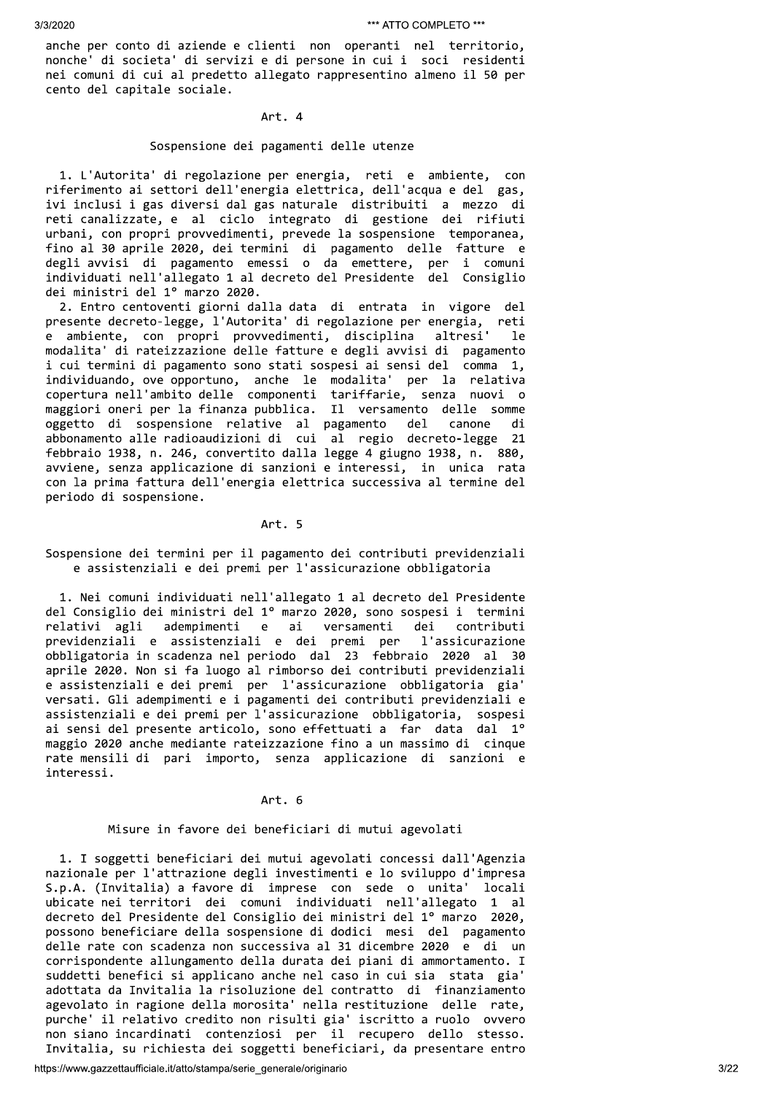anche per conto di aziende e clienti non operanti nel territorio, nonche' di societa' di servizi e di persone in cui i soci residenti nei comuni di cui al predetto allegato rappresentino almeno il 50 per cento del capitale sociale.

### Art. 4

### Sospensione dei pagamenti delle utenze

1. L'Autorita' di regolazione per energia, reti e ambiente, con riferimento ai settori dell'energia elettrica, dell'acqua e del gas, ivi inclusi i gas diversi dal gas naturale distribuiti a mezzo di reti canalizzate, e al ciclo integrato di gestione dei rifiuti urbani, con propri provvedimenti, prevede la sospensione temporanea, fino al 30 aprile 2020, dei termini di pagamento delle fatture e degli avvisi di pagamento emessi o da emettere, per i comuni individuati nell'allegato 1 al decreto del Presidente del Consiglio dei ministri del 1º marzo 2020.

2. Entro centoventi giorni dalla data di entrata in vigore del presente decreto-legge, l'Autorita' di regolazione per energia, reti e ambiente, con propri provvedimenti, disciplina altresi' 1e modalita' di rateizzazione delle fatture e degli avvisi di pagamento i cui termini di pagamento sono stati sospesi ai sensi del comma 1, individuando, ove opportuno, anche le modalita' per la relativa copertura nell'ambito delle componenti tariffarie, senza nuovi o maggiori oneri per la finanza pubblica. Il versamento delle somme oggetto di sospensione relative al pagamento del canone di<br>abbonamento alle-radioaudizioni-di cui al regio decreto-legge 21 febbraio 1938, n. 246, convertito dalla legge 4 giugno 1938, n. 880, avviene, senza applicazione di sanzioni e interessi, in unica rata con la prima fattura dell'energia elettrica successiva al termine del periodo di sospensione.

# Art. 5

Sospensione dei termini per il pagamento dei contributi previdenziali e assistenziali e dei premi per l'assicurazione obbligatoria

1. Nei comuni individuati nell'allegato 1 al decreto del Presidente del Consiglio dei ministri del 1º marzo 2020, sono sospesi i termini relativi agli adempimenti e ai versamenti dei contributi previdenziali e assistenziali e dei premi per l'assicurazione obbligatoria in scadenza nel periodo dal 23 febbraio 2020 al - 30 aprile 2020. Non si fa luogo al rimborso dei contributi previdenziali e assistenziali e dei premi per l'assicurazione obbligatoria gia' versati. Gli adempimenti e i pagamenti dei contributi previdenziali e assistenziali e dei premi per l'assicurazione obbligatoria, sospesi ai sensi del presente articolo, sono effettuati a far data dal 1º maggio 2020 anche mediante rateizzazione fino a un massimo di cinque rate mensili di pari importo, senza applicazione di sanzioni e interessi.

## Art. 6

# Misure in favore dei beneficiari di mutui agevolati

1. I soggetti beneficiari dei mutui agevolati concessi dall'Agenzia nazionale per l'attrazione degli investimenti e lo sviluppo d'impresa S.p.A. (Invitalia) a favore di imprese con sede o unita' locali ubicate nei territori dei comuni individuati nell'allegato 1 al decreto del Presidente del Consiglio dei ministri del 1º marzo 2020, possono beneficiare della sospensione di dodici mesi del pagamento delle rate con scadenza non successiva al 31 dicembre 2020 e di un corrispondente allungamento della durata dei piani di ammortamento. I suddetti benefici si applicano anche nel caso in cui sia stata gia' adottata da Invitalia la risoluzione del contratto di finanziamento agevolato in ragione della morosita' nella restituzione delle rate, purche' il relativo credito non risulti gia' iscritto a ruolo ovvero<br>non siano incardinati contenziosi per il recupero dello stesso. Invitalia, su richiesta dei soggetti beneficiari, da presentare entro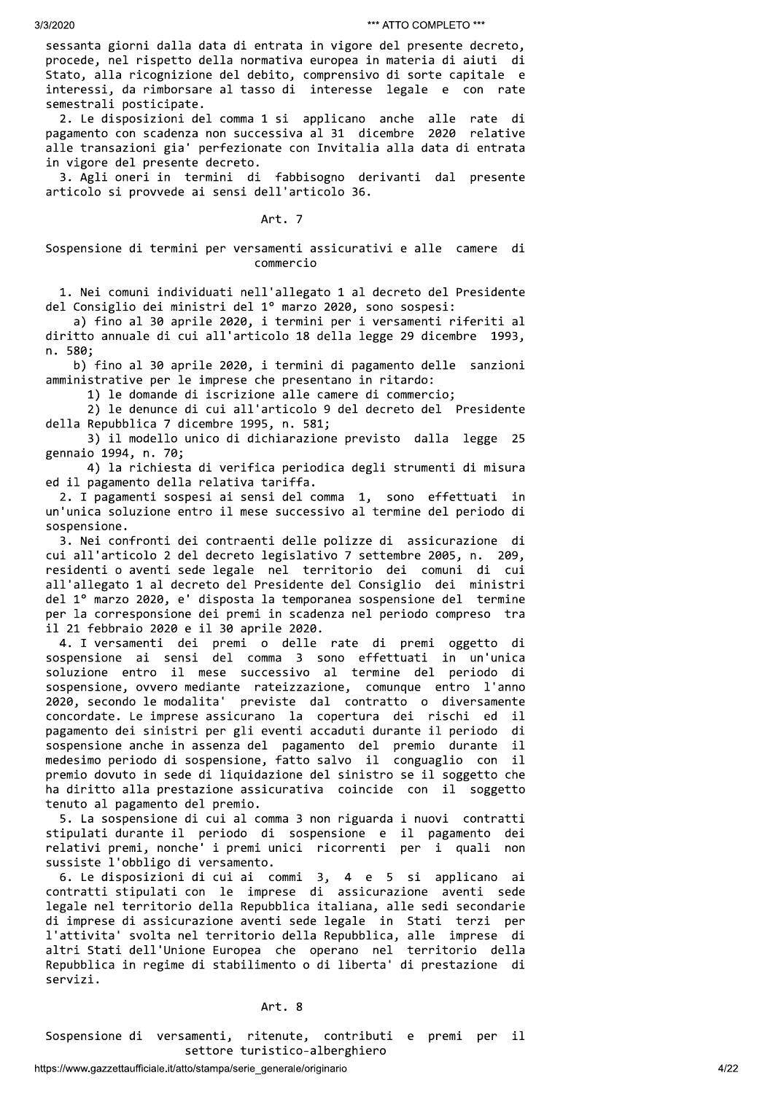sessanta giorni dalla data di entrata in vigore del presente decreto, procede, nel rispetto della normativa europea in materia di aiuti di Stato, alla ricognizione del debito, comprensivo di sorte capitale e interessi, da rimborsare al tasso di interesse legale e con rate semestrali posticipate.

2. Le disposizioni del comma 1 si applicano anche alle rate di pagamento con scadenza non successiva al 31 dicembre 2020 relative alle transazioni gia' perfezionate con Invitalia alla data di entrata in vigore del presente decreto.

3. Agli oneri in termini di fabbisogno derivanti dal presente articolo si provvede ai sensi dell'articolo 36.

# Art. 7

# Sospensione di termini per versamenti assicurativi e alle camere di commercio

1. Nei comuni individuati nell'allegato 1 al decreto del Presidente del Consiglio dei ministri del 1º marzo 2020, sono sospesi:

a) fino al 30 aprile 2020, i termini per i versamenti riferiti al diritto annuale di cui all'articolo 18 della legge 29 dicembre 1993, n. 580:

b) fino al 30 aprile 2020, i termini di pagamento delle sanzioni amministrative per le imprese che presentano in ritardo:

1) le domande di iscrizione alle camere di commercio;

2) le denunce di cui all'articolo 9 del decreto del Presidente della Repubblica 7 dicembre 1995, n. 581;

3) il modello unico di dichiarazione previsto dalla legge 25 gennaio 1994, n. 70;

4) la richiesta di verifica periodica degli strumenti di misura ed il pagamento della relativa tariffa.

2. I pagamenti sospesi ai sensi del comma 1, sono effettuati in un'unica soluzione entro il mese successivo al termine del periodo di sospensione.

3. Nei confronti dei contraenti delle polizze di assicurazione di cui all'articolo 2 del decreto legislativo 7 settembre 2005, n. 209, residenti o aventi sede legale nel territorio dei comuni di cui all'allegato 1 al decreto del Presidente del Consiglio dei ministri del 1º marzo 2020, e' disposta la temporanea sospensione del termine per la corresponsione dei premi in scadenza nel periodo compreso tra il 21 febbraio 2020 e il 30 aprile 2020.

4. I versamenti dei premi o delle rate di premi oggetto di sospensione ai sensi del comma 3 sono effettuati in un'unica soluzione entro il mese successivo al termine del periodo di sospensione, ovvero mediante rateizzazione, comunque entro l'anno 2020, secondo le modalita' previste dal contratto o diversamente concordate. Le imprese assicurano la copertura dei rischi ed il pagamento dei sinistri per gli eventi accaduti durante il periodo di sospensione anche in assenza del pagamento del premio durante il medesimo periodo di sospensione, fatto salvo il conguaglio con il premio dovuto in sede di liquidazione del sinistro se il soggetto che ha diritto alla prestazione assicurativa coincide con il soggetto tenuto al pagamento del premio.

5. La sospensione di cui al comma 3 non riguarda i nuovi contratti stipulati durante il periodo di sospensione e il pagamento dei relativi premi, nonche' i premi unici ricorrenti per i quali non sussiste l'obbligo di versamento.

6. Le disposizioni di cui ai commi 3, 4 e 5 si applicano ai contratti stipulati con le imprese di assicurazione aventi sede legale nel territorio della Repubblica italiana, alle sedi secondarie di imprese di assicurazione aventi sede legale in Stati terzi per l'attivita' svolta nel territorio della Repubblica, alle imprese di altri Stati dell'Unione Europea che operano nel territorio della Repubblica in regime di stabilimento o di liberta' di prestazione di servizi.

### Art. 8

Sospensione di versamenti, ritenute, contributi e premi per il settore turistico-alberghiero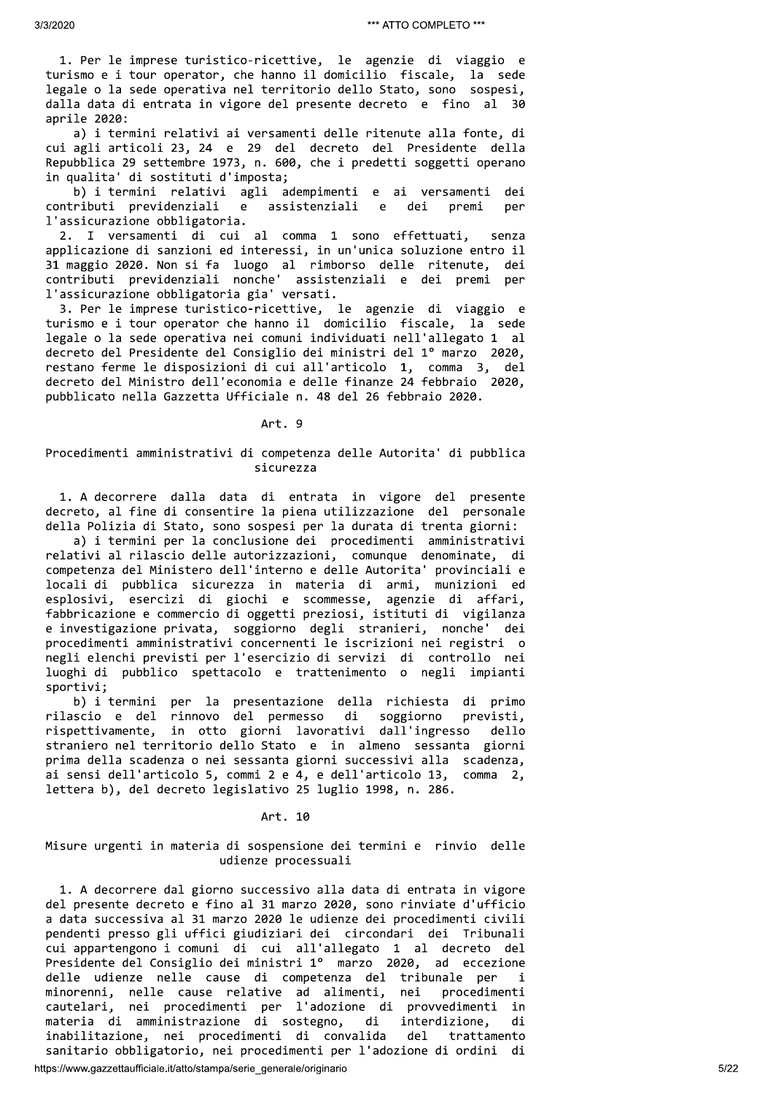1. Per le imprese turistico-ricettive, le agenzie di viaggio e turismo e i tour operator, che hanno il domicilio fiscale, la sede legale o la sede operativa nel territorio dello Stato, sono sospesi, dalla data di entrata in vigore del presente decreto e fino al 30 aprile 2020:

a) i termini relativi ai versamenti delle ritenute alla fonte, di cui agli articoli 23, 24 e 29 del decreto del Presidente della Repubblica 29 settembre 1973, n. 600, che i predetti soggetti operano in qualita' di sostituti d'imposta;

b) i termini relativi agli adempimenti e ai versamenti dei contributi previdenziali assistenziali  $e$  $e$ dei premi per l'assicurazione obbligatoria.

2. I versamenti di cui al comma 1 sono effettuati, senza applicazione di sanzioni ed interessi, in un'unica soluzione entro il 31 maggio 2020. Non si fa luogo al rimborso delle ritenute, dei contributi previdenziali nonche' assistenziali e dei premi per l'assicurazione obbligatoria gia' versati.

3. Per le imprese turistico-ricettive, le agenzie di viaggio e turismo e i tour operator che hanno il domicilio fiscale, la sede legale o la sede operativa nei comuni individuati nell'allegato 1 al decreto del Presidente del Consiglio dei ministri del 1º marzo 2020, restano ferme le disposizioni di cui all'articolo 1, comma 3, del decreto del Ministro dell'economia e delle finanze 24 febbraio 2020, pubblicato nella Gazzetta Ufficiale n. 48 del 26 febbraio 2020.

### Art. 9

# Procedimenti amministrativi di competenza delle Autorita' di pubblica sicurezza

1. A decorrere dalla data di entrata in vigore del presente decreto, al fine di consentire la piena utilizzazione del personale della Polizia di Stato, sono sospesi per la durata di trenta giorni:

a) i termini per la conclusione dei procedimenti amministrativi relativi al rilascio delle autorizzazioni, comunque denominate, di competenza del Ministero dell'interno e delle Autorita' provinciali e locali di pubblica sicurezza in materia di armi, munizioni ed esplosivi, esercizi di giochi e scommesse, agenzie di affari, fabbricazione e commercio di oggetti preziosi, istituti di vigilanza e investigazione privata, soggiorno degli stranieri, nonche' dei procedimenti amministrativi concernenti le iscrizioni nei registri o negli elenchi previsti per l'esercizio di servizi di controllo nei luoghi di pubblico spettacolo e trattenimento o negli impianti sportivi;

b) i termini per la presentazione della richiesta di primo rilascio e del rinnovo del permesso di soggiorno previsti. rispettivamente, in otto giorni lavorativi dall'ingresso dello straniero nel territorio dello Stato e in almeno sessanta giorni prima della scadenza o nei sessanta giorni successivi alla scadenza, ai sensi dell'articolo 5, commi 2 e 4, e dell'articolo 13, comma 2, lettera b), del decreto legislativo 25 luglio 1998, n. 286.

### Art. 10

# Misure urgenti in materia di sospensione dei termini e rinvio delle udienze processuali

1. A decorrere dal giorno successivo alla data di entrata in vigore del presente decreto e fino al 31 marzo 2020, sono rinviate d'ufficio a data successiva al 31 marzo 2020 le udienze dei procedimenti civili pendenti presso gli uffici giudiziari dei circondari dei Tribunali cui appartengono i comuni di cui all'allegato 1 al decreto del Presidente del Consiglio dei ministri 1º marzo 2020, ad eccezione delle udienze nelle cause di competenza del tribunale per  $\mathbf i$ minorenni, nelle cause relative ad alimenti, nei procedime<br>cautelari, nei procedimenti per l'adozione di provvedimenti procedimenti in materia di amministrazione di sostegno, di interdizione, di inabilitazione, nei procedimenti di convalida del trattamento sanitario obbligatorio, nei procedimenti per l'adozione di ordini di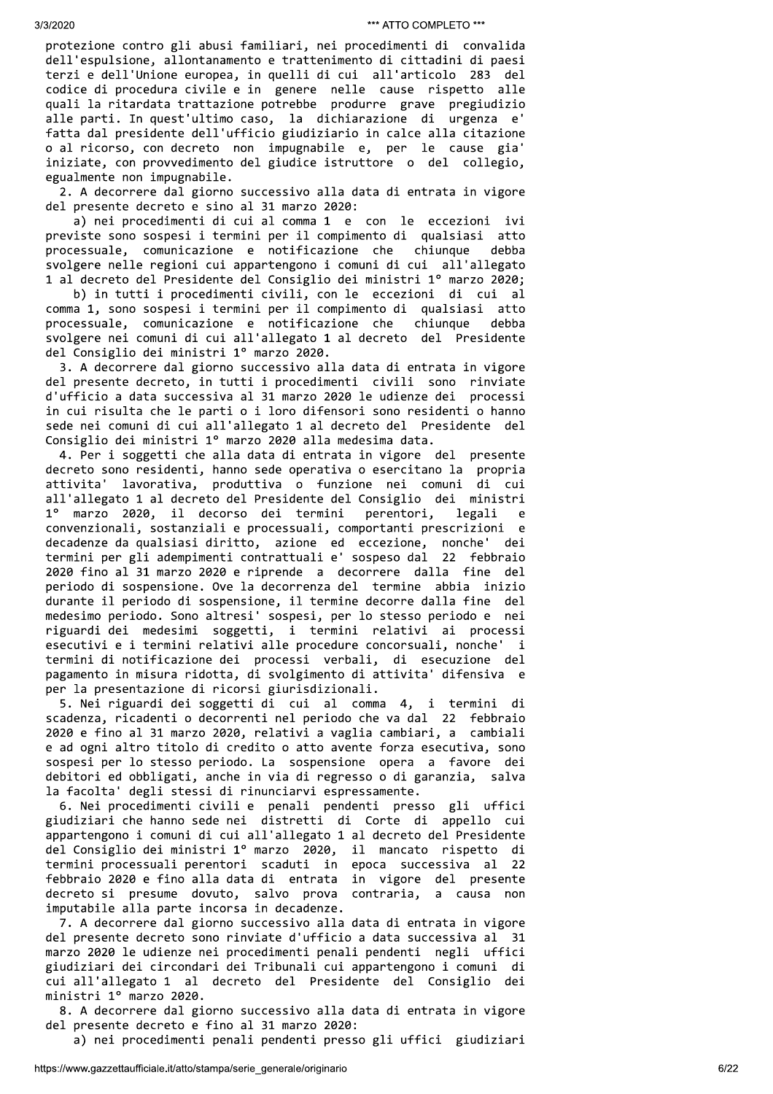protezione contro gli abusi familiari, nei procedimenti di convalida dell'espulsione, allontanamento e trattenimento di cittadini di paesi terzi e dell'Unione europea, in quelli di cui all'articolo 283 del codice di procedura civile e in genere nelle cause rispetto alle quali la ritardata trattazione potrebbe produrre grave pregiudizio alle parti. In quest'ultimo caso, la dichiarazione di urgenza e' fatta dal presidente dell'ufficio giudiziario in calce alla citazione o al ricorso, con decreto non impugnabile e, per le cause gia' iniziate, con provvedimento del giudice istruttore o del collegio, egualmente non impugnabile.

2. A decorrere dal giorno successivo alla data di entrata in vigore del presente decreto e sino al 31 marzo 2020:

a) nei procedimenti di cui al comma 1 e con le eccezioni ivi previste sono sospesi i termini per il compimento di qualsiasi atto processuale, comunicazione e notificazione che chiunque debba svolgere nelle regioni cui appartengono i comuni di cui all'allegato 1 al decreto del Presidente del Consiglio dei ministri 1º marzo 2020;

b) in tutti i procedimenti civili, con le eccezioni di cui al comma 1, sono sospesi i termini per il compimento di qualsiasi atto processuale, comunicazione e notificazione che chiunque debba svolgere nei comuni di cui all'allegato 1 al decreto del Presidente del Consiglio dei ministri 1º marzo 2020.

3. A decorrere dal giorno successivo alla data di entrata in vigore del presente decreto, in tutti i procedimenti civili sono rinviate d'ufficio a data successiva al 31 marzo 2020 le udienze dei processi in cui risulta che le parti o i loro difensori sono residenti o hanno sede nei comuni di cui all'allegato 1 al decreto del Presidente del Consiglio dei ministri 1º marzo 2020 alla medesima data.

4. Per i soggetti che alla data di entrata in vigore del presente decreto sono residenti, hanno sede operativa o esercitano la propria attivita' lavorativa, produttiva o funzione nei comuni di cui all'allegato 1 al decreto del Presidente del Consiglio dei ministri 1º marzo 2020, il decorso dei termini perentori, legali e convenzionali, sostanziali e processuali, comportanti prescrizioni e decadenze da qualsiasi diritto, azione ed eccezione, nonche' dei termini per gli adempimenti contrattuali e' sospeso dal 22 febbraio 2020 fino al 31 marzo 2020 e riprende a decorrere dalla fine del periodo di sospensione. Ove la decorrenza del termine abbia inizio durante il periodo di sospensione, il termine decorre dalla fine del medesimo periodo. Sono altresi' sospesi, per lo stesso periodo e nei riguardi dei medesimi soggetti, i termini relativi ai processi esecutivi e i termini relativi alle procedure concorsuali, nonche' i termini di notificazione dei processi verbali, di esecuzione del pagamento in misura ridotta, di svolgimento di attivita' difensiva e per la presentazione di ricorsi giurisdizionali.

5. Nei riguardi dei soggetti di cui al comma 4, i termini di scadenza, ricadenti o decorrenti nel periodo che va dal 22 febbraio 2020 e fino al 31 marzo 2020, relativi a vaglia cambiari, a cambiali e ad ogni altro titolo di credito o atto avente forza esecutiva, sono sospesi per lo stesso periodo. La sospensione opera a favore dei debitori ed obbligati, anche in via di regresso o di garanzia, salva la facolta' degli stessi di rinunciarvi espressamente.

6. Nei procedimenti civili e penali pendenti presso gli uffici giudiziari che hanno sede nei distretti di Corte di appello cui appartengono i comuni di cui all'allegato 1 al decreto del Presidente del Consiglio dei ministri 1º marzo 2020, il mancato rispetto di termini processuali perentori scaduti in epoca successiva al 22 febbraio 2020 e fino alla data di entrata in vigore del presente decreto si presume dovuto, salvo prova contraria, a causa non imputabile alla parte incorsa in decadenze.

7. A decorrere dal giorno successivo alla data di entrata in vigore del presente decreto sono rinviate d'ufficio a data successiva al 31 marzo 2020 le udienze nei procedimenti penali pendenti negli uffici giudiziari dei circondari dei Tribunali cui appartengono i comuni di cui all'allegato 1 al decreto del Presidente del Consiglio dei ministri 1º marzo 2020.

8. A decorrere dal giorno successivo alla data di entrata in vigore del presente decreto e fino al 31 marzo 2020:

a) nei procedimenti penali pendenti presso gli uffici giudiziari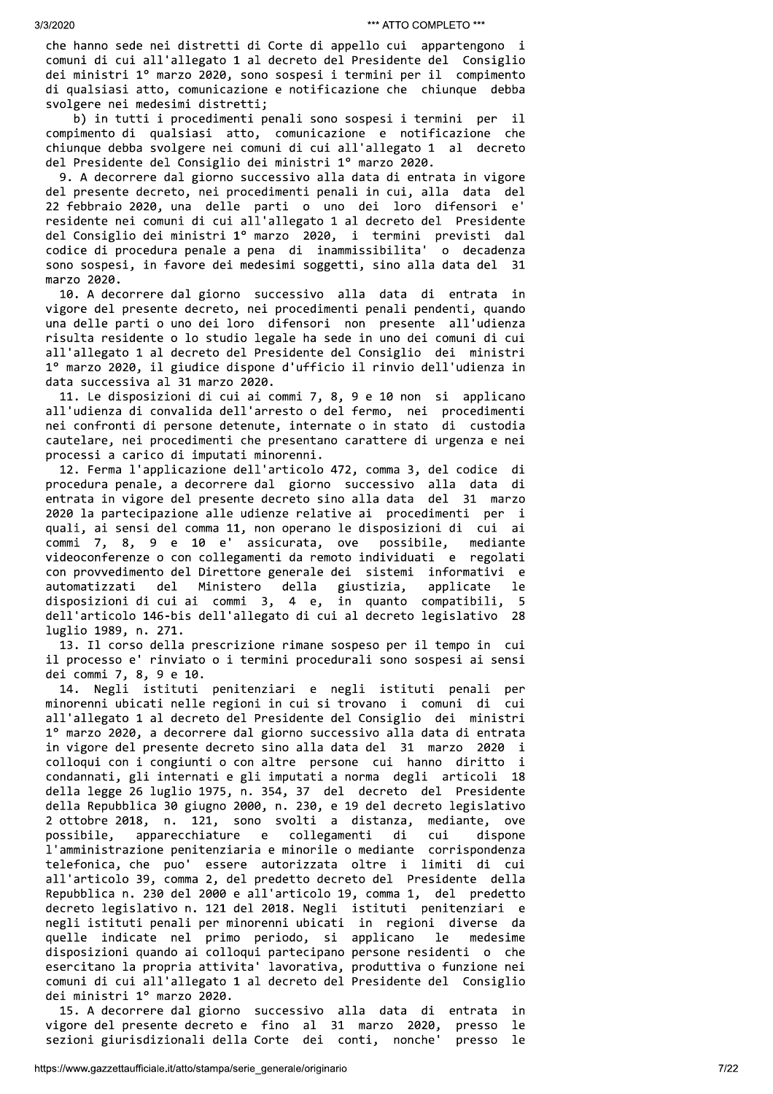che hanno sede nei distretti di Corte di appello cui appartengono i comuni di cui all'allegato 1 al decreto del Presidente del Consiglio dei ministri 1º marzo 2020, sono sospesi i termini per il compimento di qualsiasi atto, comunicazione e notificazione che chiunque debba svolgere nei medesimi distretti;

b) in tutti i procedimenti penali sono sospesi i termini per il compimento di qualsiasi atto, comunicazione e notificazione che chiunque debba svolgere nei comuni di cui all'allegato 1 al decreto del Presidente del Consiglio dei ministri 1º marzo 2020.

9. A decorrere dal giorno successivo alla data di entrata in vigore del presente decreto, nei procedimenti penali in cui, alla data del 22 febbraio 2020, una delle parti o uno dei loro difensori e' residente nei comuni di cui all'allegato 1 al decreto del Presidente del Consiglio dei ministri 1º marzo 2020, i termini previsti dal codice di procedura penale a pena di inammissibilita' o decadenza sono sospesi, in favore dei medesimi soggetti, sino alla data del 31 marzo 2020.

10. A decorrere dal giorno successivo alla data di entrata in vigore del presente decreto, nei procedimenti penali pendenti, quando una delle parti o uno dei loro difensori non presente all'udienza risulta residente o lo studio legale ha sede in uno dei comuni di cui all'allegato 1 al decreto del Presidente del Consiglio dei ministri 1º marzo 2020, il giudice dispone d'ufficio il rinvio dell'udienza in data successiva al 31 marzo 2020.

11. Le disposizioni di cui ai commi 7, 8, 9 e 10 non si applicano all'udienza di convalida dell'arresto o del fermo, nei procedimenti nei confronti di persone detenute, internate o in stato di custodia cautelare, nei procedimenti che presentano carattere di urgenza e nei processi a carico di imputati minorenni.

12. Ferma l'applicazione dell'articolo 472, comma 3, del codice di procedura penale, a decorrere dal giorno successivo alla data di entrata in vigore del presente decreto sino alla data del 31 marzo 2020 la partecipazione alle udienze relative ai procedimenti per i quali, ai sensi del comma 11, non operano le disposizioni di cui ai commi 7, 8, 9 e 10 e' assicurata, ove possibile, mediante videoconferenze o con collegamenti da remoto individuati e regolati con provvedimento del Direttore generale dei sistemi informativi e automatizzati  $de<sub>1</sub>$ Ministero della giustizia, applicate le disposizioni di cui ai commi 3, 4 e, in quanto compatibili, 5 dell'articolo 146-bis dell'allegato di cui al decreto legislativo 28 luglio 1989, n. 271.

13. Il corso della prescrizione rimane sospeso per il tempo in cui il processo e' rinviato o i termini procedurali sono sospesi ai sensi dei commi 7, 8, 9 e 10.

14. Negli istituti penitenziari e negli istituti penali per minorenni ubicati nelle regioni in cui si trovano i comuni di cui all'allegato 1 al decreto del Presidente del Consiglio dei ministri 1º marzo 2020, a decorrere dal giorno successivo alla data di entrata in vigore del presente decreto sino alla data del 31 marzo 2020 i collogui con i congiunti o con altre persone cui hanno diritto i condannati, gli internati e gli imputati a norma degli articoli 18 della legge 26 luglio 1975, n. 354, 37 del decreto del Presidente della Repubblica 30 giugno 2000, n. 230, e 19 del decreto legislativo 2 ottobre 2018, n. 121, sono svolti a distanza, mediante, ove apparecchiature collegamenti possibile. e e di cui dispone l'amministrazione penitenziaria e minorile o mediante corrispondenza telefonica, che puo' essere autorizzata oltre i limiti di cui all'articolo 39, comma 2, del predetto decreto del Presidente della Repubblica n. 230 del 2000 e all'articolo 19, comma 1, del predetto decreto legislativo n. 121 del 2018. Negli istituti penitenziari e negli istituti penali per minorenni ubicati in regioni diverse da le quelle indicate nel primo periodo, si applicano medesime disposizioni quando ai colloqui partecipano persone residenti o che esercitano la propria attivita' lavorativa, produttiva o funzione nei comuni di cui all'allegato 1 al decreto del Presidente del Consiglio dei ministri 1º marzo 2020.

15. A decorrere dal giorno successivo alla data di entrata in vigore del presente decreto e fino al 31 marzo 2020, presso le presso le sezioni giurisdizionali della Corte dei conti, nonche'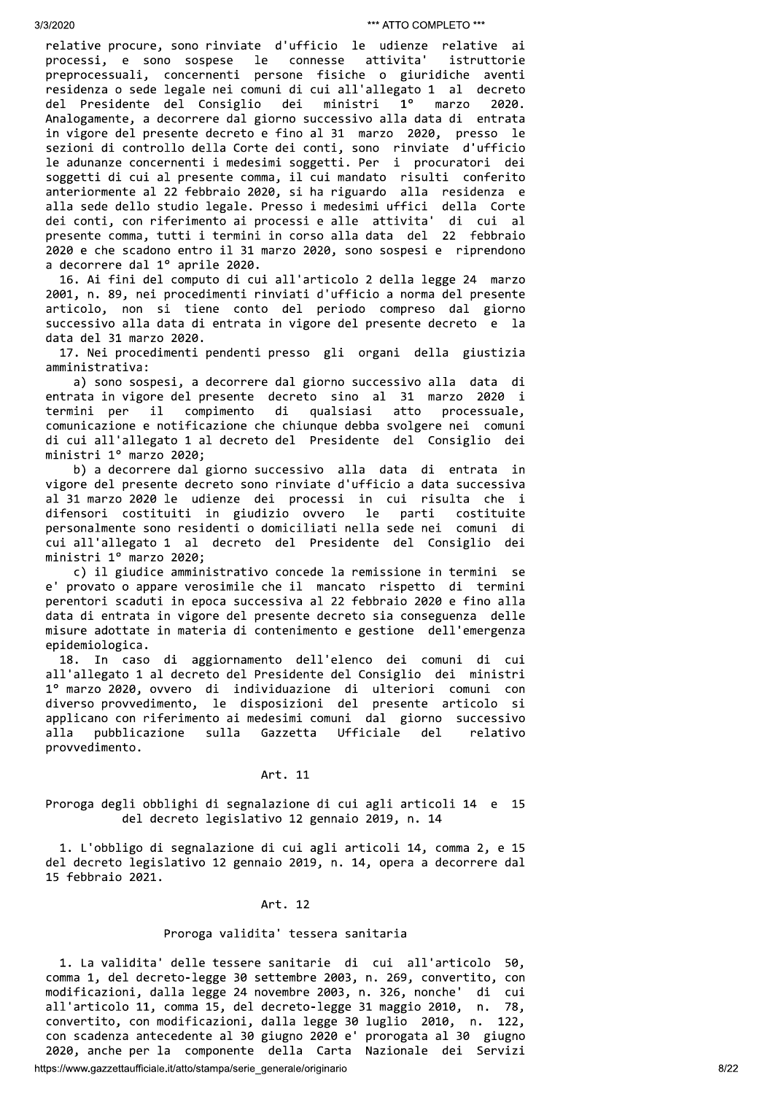relative procure, sono rinviate d'ufficio le udienze relative ai processi, e sono sospese le connesse attivita' istruttorie preprocessuali, concernenti persone fisiche o giuridiche aventi residenza o sede legale nei comuni di cui all'allegato 1 al decreto  $1^{\circ}$ del Presidente del Consiglio dei ministri marzo 2020. Analogamente, a decorrere dal giorno successivo alla data di entrata in vigore del presente decreto e fino al 31 marzo 2020, presso le sezioni di controllo della Corte dei conti, sono rinviate d'ufficio le adunanze concernenti i medesimi soggetti. Per i procuratori dei soggetti di cui al presente comma, il cui mandato risulti conferito anteriormente al 22 febbraio 2020, si ha riguardo alla residenza e alla sede dello studio legale. Presso i medesimi uffici della Corte dei conti, con riferimento ai processi e alle attivita' di cui al presente comma, tutti i termini in corso alla data del 22 febbraio 2020 e che scadono entro il 31 marzo 2020, sono sospesi e riprendono a decorrere dal 1º aprile 2020.

16. Ai fini del computo di cui all'articolo 2 della legge 24 marzo 2001, n. 89, nei procedimenti rinviati d'ufficio a norma del presente articolo, non si tiene conto del periodo compreso dal giorno successivo alla data di entrata in vigore del presente decreto e la data del 31 marzo 2020.

17. Nei procedimenti pendenti presso gli organi della giustizia amministrativa:

a) sono sospesi, a decorrere dal giorno successivo alla data di entrata in vigore del presente decreto sino al 31 marzo 2020 i termini per il compimento di qualsiasi atto processuale, comunicazione e notificazione che chiunque debba svolgere nei comuni di cui all'allegato 1 al decreto del Presidente del Consiglio dei ministri 1º marzo 2020;

b) a decorrere dal giorno successivo alla data di entrata in vigore del presente decreto sono rinviate d'ufficio a data successiva al 31 marzo 2020 le udienze dei processi in cui risulta che i parti difensori costituiti in giudizio ovvero le costituite personalmente sono residenti o domiciliati nella sede nei comuni di cui all'allegato 1 al decreto del Presidente del Consiglio dei ministri 1º marzo 2020;

c) il giudice amministrativo concede la remissione in termini se e' provato o appare verosimile che il mancato rispetto di termini perentori scaduti in epoca successiva al 22 febbraio 2020 e fino alla data di entrata in vigore del presente decreto sia conseguenza delle misure adottate in materia di contenimento e gestione dell'emergenza epidemiologica.

18. In caso di aggiornamento dell'elenco dei comuni di cui all'allegato 1 al decreto del Presidente del Consiglio dei ministri 1º marzo 2020, ovvero di individuazione di ulteriori comuni con diverso provvedimento, le disposizioni del presente articolo si applicano con riferimento ai medesimi comuni dal giorno successivo pubblicazione sulla Gazzetta Ufficiale  $a11a$ del relativo provvedimento.

# Art. 11

Proroga degli obblighi di segnalazione di cui agli articoli 14 e 15 del decreto legislativo 12 gennaio 2019, n. 14

1. L'obbligo di segnalazione di cui agli articoli 14, comma 2, e 15 del decreto legislativo 12 gennaio 2019, n. 14, opera a decorrere dal 15 febbraio 2021.

### Art. 12

# Proroga validita' tessera sanitaria

1. La validita' delle tessere sanitarie di cui all'articolo 50, comma 1, del decreto-legge 30 settembre 2003, n. 269, convertito, con modificazioni, dalla legge 24 novembre 2003, n. 326, nonche' di cui all'articolo 11, comma 15, del decreto-legge 31 maggio 2010, n. 78, convertito, con modificazioni, dalla legge 30 luglio 2010, n. 122, con scadenza antecedente al 30 giugno 2020 e' prorogata al 30 giugno 2020, anche per la componente della Carta Nazionale dei Servizi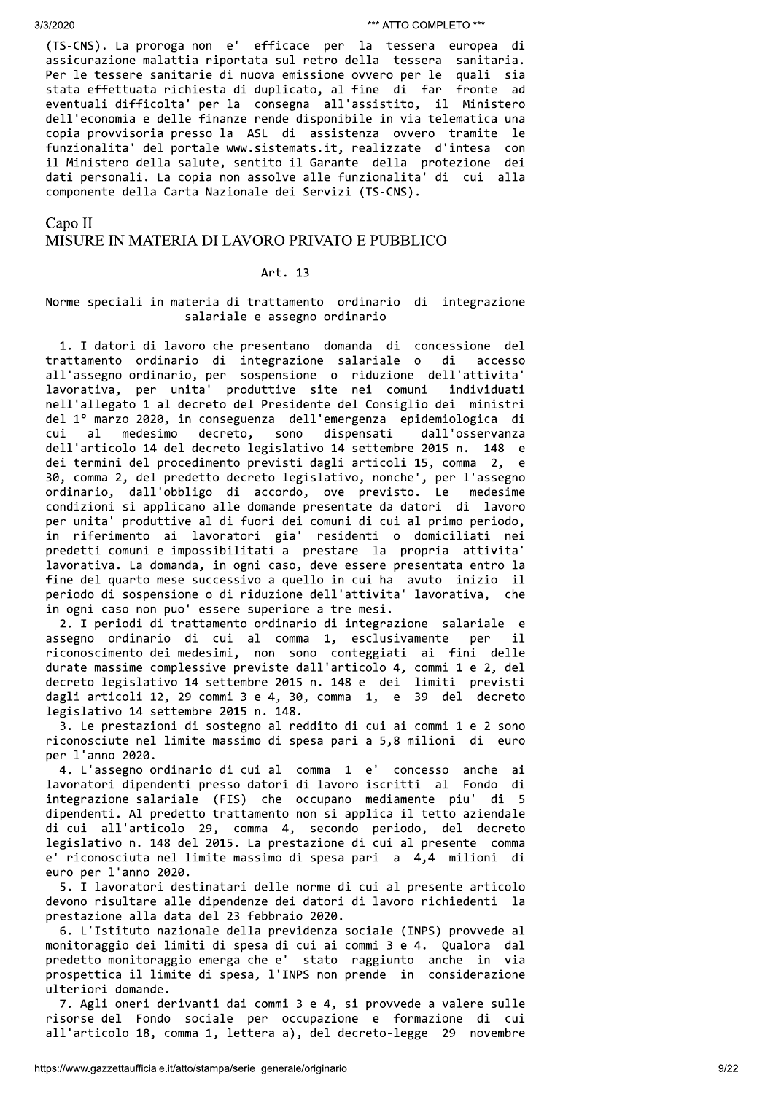(TS-CNS). La proroga non e' efficace per la tessera europea di assicurazione malattia riportata sul retro della tessera sanitaria. Per le tessere sanitarie di nuova emissione ovvero per le quali sia stata effettuata richiesta di duplicato, al fine di far fronte ad eventuali difficolta' per la consegna all'assistito, il Ministero dell'economia e delle finanze rende disponibile in via telematica una copia provvisoria presso la ASL di assistenza ovvero tramite le funzionalita' del portale www.sistemats.it, realizzate d'intesa con il Ministero della salute, sentito il Garante della protezione dei dati personali. La copia non assolve alle funzionalita' di cui alla componente della Carta Nazionale dei Servizi (TS-CNS).

Capo II

# MISURE IN MATERIA DI LAVORO PRIVATO E PUBBLICO

### Art. 13

# Norme speciali in materia di trattamento ordinario di integrazione salariale e assegno ordinario

1. I datori di lavoro che presentano domanda di concessione del trattamento ordinario di integrazione salariale o di accesso all'assegno ordinario, per sospensione o riduzione dell'attivita' lavorativa, per unita' produttive site nei comuni individuati nell'allegato 1 al decreto del Presidente del Consiglio dei ministri del 1º marzo 2020, in conseguenza dell'emergenza epidemiologica di medesimo decreto, sono dispensati dall'osservanza cui  $a<sub>1</sub>$ dell'articolo 14 del decreto legislativo 14 settembre 2015 n. 148 e dei termini del procedimento previsti dagli articoli 15, comma 2, e 30, comma 2, del predetto decreto legislativo, nonche', per l'assegno ordinario, dall'obbligo di accordo, ove previsto. Le medesime condizioni si applicano alle domande presentate da datori di lavoro per unita' produttive al di fuori dei comuni di cui al primo periodo, in riferimento ai lavoratori gia' residenti o domiciliati nei predetti comuni e impossibilitati a prestare la propria attivita' lavorativa. La domanda, in ogni caso, deve essere presentata entro la fine del quarto mese successivo a quello in cui ha avuto inizio il periodo di sospensione o di riduzione dell'attivita' lavorativa, che in ogni caso non puo' essere superiore a tre mesi.

2. I periodi di trattamento ordinario di integrazione salariale e assegno ordinario di cui al comma 1, esclusivamente per  $\mathbf{i}$ riconoscimento dei medesimi, non sono conteggiati ai fini delle durate massime complessive previste dall'articolo 4, commi 1 e 2, del decreto legislativo 14 settembre 2015 n. 148 e dei limiti previsti dagli articoli 12, 29 commi 3 e 4, 30, comma 1, e 39 del decreto legislativo 14 settembre 2015 n. 148.

3. Le prestazioni di sostegno al reddito di cui ai commi 1 e 2 sono riconosciute nel limite massimo di spesa pari a 5,8 milioni di euro per l'anno 2020.

4. L'assegno ordinario di cui al comma 1 e' concesso anche ai lavoratori dipendenti presso datori di lavoro iscritti al Fondo di integrazione salariale (FIS) che occupano mediamente piu' di 5 dipendenti. Al predetto trattamento non si applica il tetto aziendale di cui all'articolo 29, comma 4, secondo periodo, del decreto legislativo n. 148 del 2015. La prestazione di cui al presente comma e' riconosciuta nel limite massimo di spesa pari a 4,4 milioni di euro per l'anno 2020.

5. I lavoratori destinatari delle norme di cui al presente articolo devono risultare alle dipendenze dei datori di lavoro richiedenti la prestazione alla data del 23 febbraio 2020.

6. L'Istituto nazionale della previdenza sociale (INPS) provvede al monitoraggio dei limiti di spesa di cui ai commi 3 e 4. Qualora dal predetto monitoraggio emerga che e' stato raggiunto anche in via prospettica il limite di spesa, l'INPS non prende in considerazione ulteriori domande.

7. Agli oneri derivanti dai commi 3 e 4, si provvede a valere sulle risorse del Fondo sociale per occupazione e formazione di cui all'articolo 18, comma 1, lettera a), del decreto-legge 29 novembre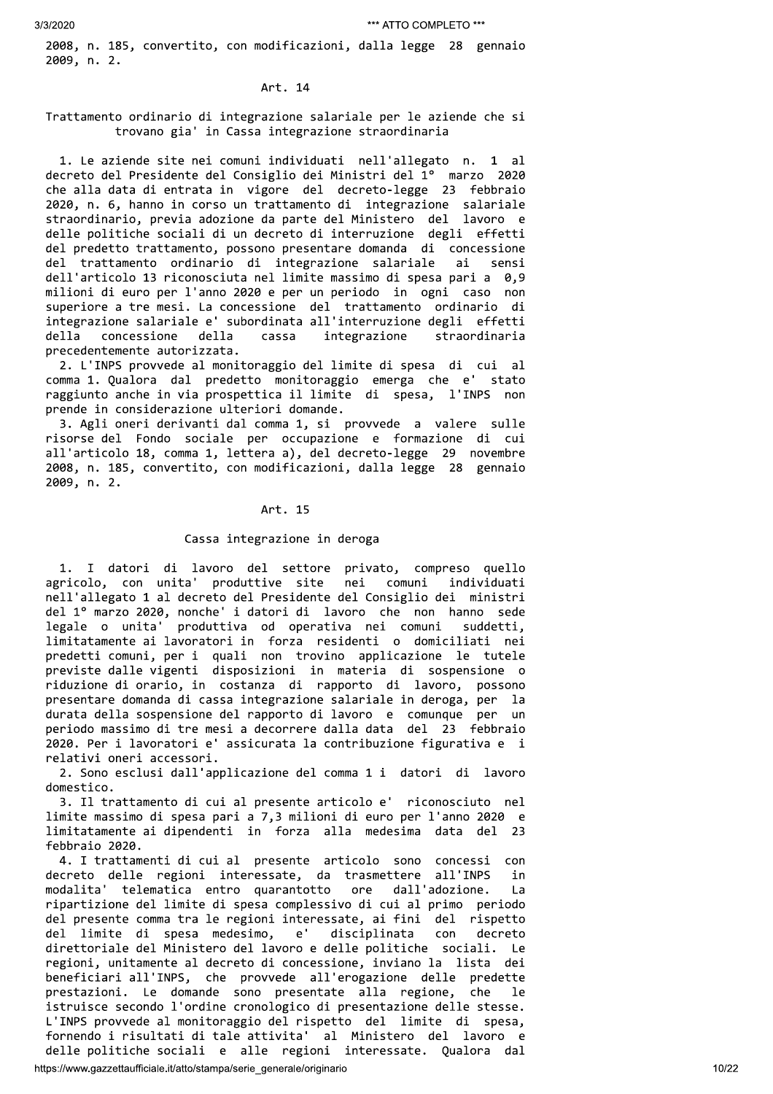30.002<br>
20.002<br>
20.002<br>
20.002<br>
20.002<br>
20.002<br>
20.002<br>
20.002<br>
20.002<br>
20.002<br>
20.002<br>
20.002<br>
20.002<br>
20.002<br>
20.002<br>
20.002<br>
20.002<br>
20.002<br>
20.002<br>
20.002<br>
20.002<br>
20.002<br>
20.002<br>
20.002<br>
20.002<br>
20.002<br>
20.002<br>
20.00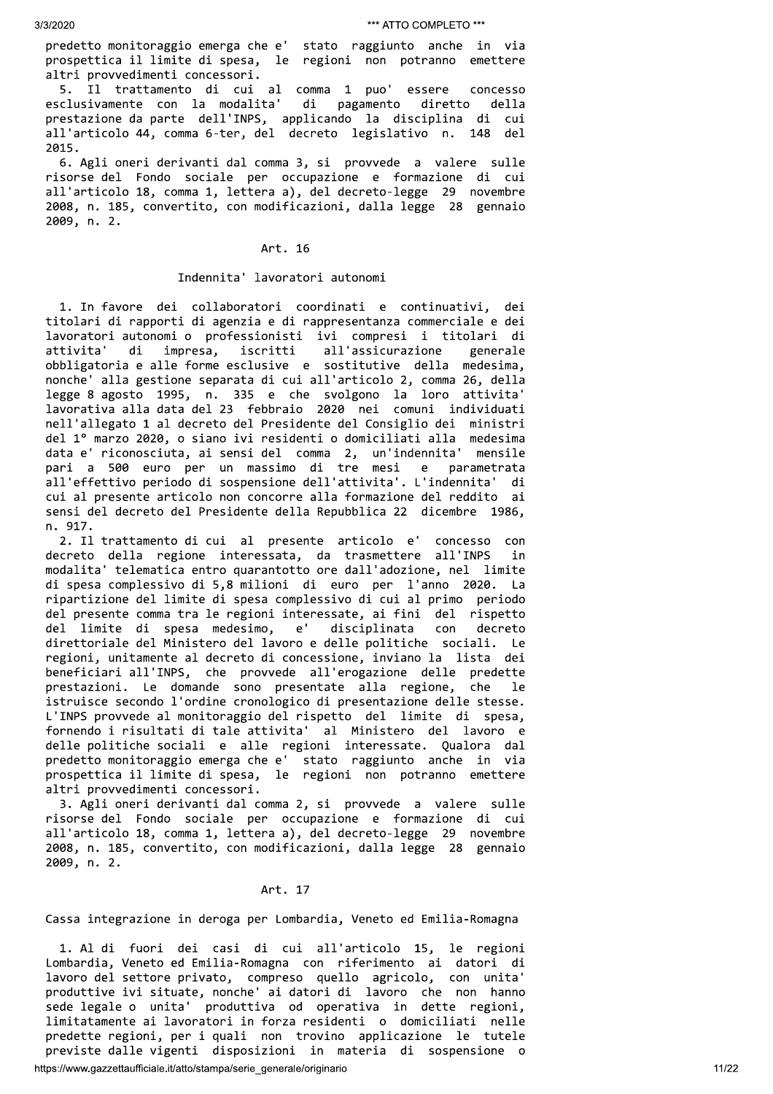predetto monitoraggio emerga che e' stato raggiunto anche in via prospettica il limite di spesa, le regioni non potranno emettere altri provvedimenti concessori.

5. Il trattamento di cui al comma 1 puo' essere concesso esclusivamente con la modalita' di pagamento diretto della prestazione da parte dell'INPS, applicando la disciplina di cui all'articolo 44, comma 6-ter, del decreto legislativo n. 148 del 2015.

6. Agli oneri derivanti dal comma 3, si provvede a valere sulle risorse del Fondo sociale per occupazione e formazione di cui all'articolo 18, comma 1, lettera a), del decreto-legge 29 novembre 2008, n. 185, convertito, con modificazioni, dalla legge 28 gennaio 2009, n. 2.

# Art. 16

# Indennita' lavoratori autonomi

1. In favore dei collaboratori coordinati e continuativi, dei titolari di rapporti di agenzia e di rappresentanza commerciale e dei lavoratori autonomi o professionisti ivi compresi i titolari di attivita' di impresa, iscritti all'assicurazione generale obbligatoria e alle forme esclusive e sostitutive della medesima, nonche' alla gestione separata di cui all'articolo 2, comma 26, della legge 8 agosto 1995, n. 335 e che svolgono la loro attivita'<br>lavorativa alla data del 23 febbraio 2020 nei comuni individuati nell'allegato 1 al decreto del Presidente del Consiglio dei ministri del 1º marzo 2020, o siano ivi residenti o domiciliati alla medesima data e' riconosciuta, ai sensi del comma 2, un'indennita' mensile pari a 500 euro per un massimo di tre mesi e parametrata all'effettivo periodo di sospensione dell'attivita'. L'indennita' di cui al presente articolo non concorre alla formazione del reddito ai sensi del decreto del Presidente della Repubblica 22 dicembre 1986, n. 917.

2. Il trattamento di cui al presente articolo e' concesso con decreto della regione interessata, da trasmettere all'INPS in modalita' telematica entro quarantotto ore dall'adozione, nel limite di spesa complessivo di 5,8 milioni di euro per l'anno 2020. La ripartizione del limite di spesa complessivo di cui al primo periodo del presente comma tra le regioni interessate, ai fini del rispetto del limite di spesa medesimo,  $e'$ disciplinata con decreto direttoriale del Ministero del lavoro e delle politiche sociali. Le regioni, unitamente al decreto di concessione, inviano la lista dei beneficiari all'INPS, che provvede all'erogazione delle predette prestazioni. Le domande sono presentate alla regione, che le istruisce secondo l'ordine cronologico di presentazione delle stesse. L'INPS provvede al monitoraggio del rispetto del limite di spesa, fornendo i risultati di tale attivita' al Ministero del lavoro e delle politiche sociali e alle regioni interessate. Qualora dal predetto monitoraggio emerga che e' stato raggiunto anche in via prospettica il limite di spesa, le regioni non potranno emettere altri provvedimenti concessori.

3. Agli oneri derivanti dal comma 2, si provvede a valere sulle risorse del Fondo sociale per occupazione e formazione di cui all'articolo 18, comma 1, lettera a), del decreto-legge 29 novembre 2008, n. 185, convertito, con modificazioni, dalla legge 28 gennaio 2009, n. 2.

# Art. 17

### Cassa integrazione in deroga per Lombardia, Veneto ed Emilia-Romagna

1. Al di fuori dei casi di cui all'articolo 15, le regioni Lombardia, Veneto ed Emilia-Romagna con riferimento ai datori di lavoro del settore privato, compreso quello agricolo, con unita' produttive ivi situate, nonche' ai datori di lavoro che non hanno sede legale o unita' produttiva od operativa in dette regioni, limitatamente ai lavoratori in forza residenti o domiciliati nelle predette regioni, per i quali non trovino applicazione le tutele previste dalle vigenti disposizioni in materia di sospensione o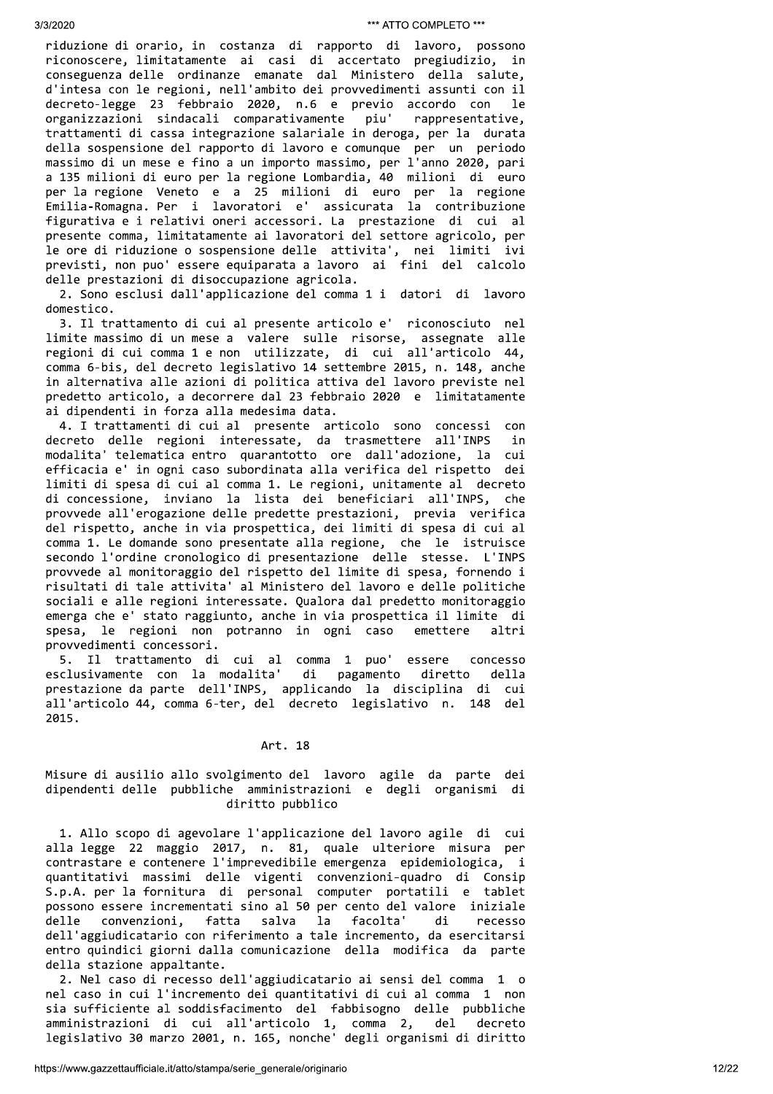riduzione di orario, in costanza di rapporto di lavoro, possono riconoscere, limitatamente ai casi di accertato pregiudizio, in conseguenza delle ordinanze emanate dal Ministero della salute, d'intesa con le regioni, nell'ambito dei provvedimenti assunti con il decreto-legge 23 febbraio 2020, n.6 e previo accordo con le organizzazioni sindacali comparativamente piu' rappresentative, trattamenti di cassa integrazione salariale in deroga, per la durata della sospensione del rapporto di lavoro e comunque per un periodo massimo di un mese e fino a un importo massimo, per l'anno 2020, pari a 135 milioni di euro per la regione Lombardia, 40 milioni di euro per la regione Veneto e a 25 milioni di euro per la regione Emilia-Romagna. Per i lavoratori e' assicurata la contribuzione figurativa e i relativi oneri accessori. La prestazione di cui al presente comma, limitatamente ai lavoratori del settore agricolo, per le ore di riduzione o sospensione delle attivita', nei limiti ivi previsti, non puo' essere equiparata a lavoro ai fini del calcolo delle prestazioni di disoccupazione agricola.

2. Sono esclusi dall'applicazione del comma 1 i datori di lavoro domestico.

3. Il trattamento di cui al presente articolo e' riconosciuto nel limite massimo di un mese a valere sulle risorse, assegnate alle regioni di cui comma 1 e non utilizzate, di cui all'articolo 44, comma 6-bis, del decreto legislativo 14 settembre 2015, n. 148, anche in alternativa alle azioni di politica attiva del lavoro previste nel predetto articolo, a decorrere dal 23 febbraio 2020 e limitatamente ai dipendenti in forza alla medesima data.

4. I trattamenti di cui al presente articolo sono concessi con decreto delle regioni interessate, da trasmettere all'INPS in modalita' telematica entro quarantotto ore dall'adozione, la cui efficacia e' in ogni caso subordinata alla verifica del rispetto dei limiti di spesa di cui al comma 1. Le regioni, unitamente al decreto di concessione, inviano la lista dei beneficiari all'INPS, che provvede all'erogazione delle predette prestazioni, previa verifica del rispetto, anche in via prospettica, dei limiti di spesa di cui al comma 1. Le domande sono presentate alla regione, che le istruisce secondo l'ordine cronologico di presentazione delle stesse. L'INPS provvede al monitoraggio del rispetto del limite di spesa, fornendo i risultati di tale attivita' al Ministero del lavoro e delle politiche sociali e alle regioni interessate. Qualora dal predetto monitoraggio emerga che e' stato raggiunto, anche in via prospettica il limite di spesa, le regioni non potranno in ogni caso emettere altri provvedimenti concessori.

5. Il trattamento di cui al comma 1 puo' essere concesso esclusivamente con la modalita' di pagamento diretto della prestazione da parte dell'INPS, applicando la disciplina di cui all'articolo 44, comma 6-ter, del decreto legislativo n. 148 del 2015.

# Art. 18

# Misure di ausilio allo svolgimento del lavoro agile da parte dei dipendenti delle pubbliche amministrazioni e degli organismi di diritto pubblico

1. Allo scopo di agevolare l'applicazione del lavoro agile di cui alla legge 22 maggio 2017, n. 81, quale ulteriore misura per contrastare e contenere l'imprevedibile emergenza epidemiologica, i quantitativi massimi delle vigenti convenzioni-quadro di Consip S.p.A. per la fornitura di personal computer portatili e tablet possono essere incrementati sino al 50 per cento del valore iniziale convenzioni, delle fatta salva la facolta' di recesso dell'aggiudicatario con riferimento a tale incremento, da esercitarsi entro quindici giorni dalla comunicazione della modifica da parte della stazione appaltante.

2. Nel caso di recesso dell'aggiudicatario ai sensi del comma 1 o nel caso in cui l'incremento dei quantitativi di cui al comma 1 non sia sufficiente al soddisfacimento del fabbisogno delle pubbliche amministrazioni di cui all'articolo 1, comma 2, del decreto legislativo 30 marzo 2001, n. 165, nonche' degli organismi di diritto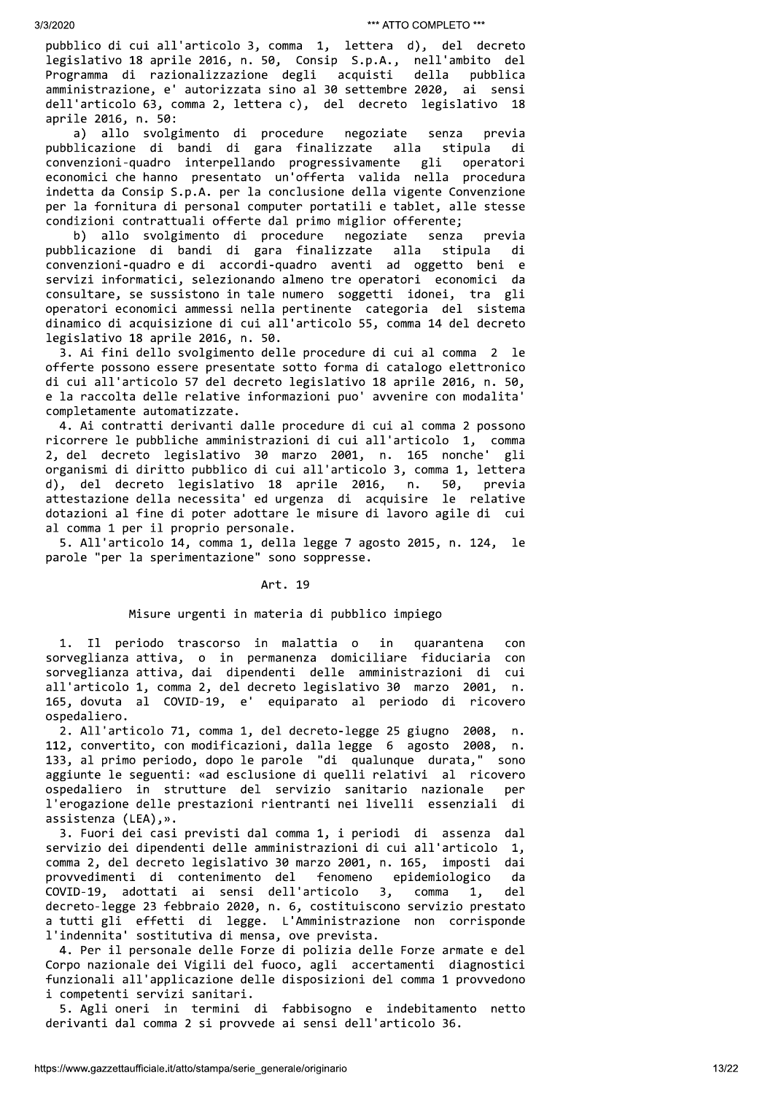pubblico di cui all'articolo 3, comma 1, lettera d), del decreto legislativo 18 aprile 2016, n. 50, Consip S.p.A., nell'ambito del Programma di razionalizzazione degli acquisti della pubblica amministrazione, e' autorizzata sino al 30 settembre 2020, ai sensi dell'articolo 63, comma 2, lettera c), del decreto legislativo 18 aprile 2016, n. 50:

a) allo svolgimento di procedure negoziate senza previa pubblicazione di bandi di gara finalizzate alla stipula di convenzioni-quadro interpellando progressivamente gli operatori economici che hanno presentato un'offerta valida nella procedura indetta da Consip S.p.A. per la conclusione della vigente Convenzione per la fornitura di personal computer portatili e tablet, alle stesse condizioni contrattuali offerte dal primo miglior offerente;

b) allo svolgimento di procedure negoziate senza previa pubblicazione di bandi di gara finalizzate alla stipula di convenzioni-quadro e di accordi-quadro aventi ad oggetto beni e servizi informatici, selezionando almeno tre operatori economici da consultare, se sussistono in tale numero soggetti idonei, tra gli operatori economici ammessi nella pertinente categoria del sistema dinamico di acquisizione di cui all'articolo 55, comma 14 del decreto legislativo 18 aprile 2016, n. 50.

3. Ai fini dello svolgimento delle procedure di cui al comma 2 le offerte possono essere presentate sotto forma di catalogo elettronico di cui all'articolo 57 del decreto legislativo 18 aprile 2016, n. 50, e la raccolta delle relative informazioni puo' avvenire con modalita' completamente automatizzate.

4. Ai contratti derivanti dalle procedure di cui al comma 2 possono ricorrere le pubbliche amministrazioni di cui all'articolo 1, comma 2, del decreto legislativo 30 marzo 2001, n. 165 nonche' gli organismi di diritto pubblico di cui all'articolo 3, comma 1, lettera 50, d), del decreto legislativo 18 aprile 2016, n. previa attestazione della necessita' ed urgenza di acquisire le relative dotazioni al fine di poter adottare le misure di lavoro agile di cui al comma 1 per il proprio personale.

5. All'articolo 14, comma 1, della legge 7 agosto 2015, n. 124, le parole "per la sperimentazione" sono soppresse.

### Art. 19

# Misure urgenti in materia di pubblico impiego

1. Il periodo trascorso in malattia o in quarantena con sorveglianza attiva, o in permanenza domiciliare fiduciaria con sorveglianza attiva, dai dipendenti delle amministrazioni di cui all'articolo 1, comma 2, del decreto legislativo 30 marzo 2001, n. 165, dovuta al COVID-19, e' equiparato al periodo di ricovero ospedaliero.

2. All'articolo 71, comma 1, del decreto-legge 25 giugno 2008,  $n$ . 112, convertito, con modificazioni, dalla legge 6 agosto 2008, n. 133, al primo periodo, dopo le parole "di qualunque durata," sono aggiunte le seguenti: «ad esclusione di quelli relativi al ricovero ospedaliero in strutture del servizio sanitario nazionale per l'erogazione delle prestazioni rientranti nei livelli essenziali di assistenza (LEA), ».

3. Fuori dei casi previsti dal comma 1, i periodi di assenza dal servizio dei dipendenti delle amministrazioni di cui all'articolo 1, comma 2, del decreto legislativo 30 marzo 2001, n. 165, imposti dai provvedimenti di contenimento del fenomeno epidemiologico da COVID-19, adottati ai sensi dell'articolo comma 3, 1, del. decreto-legge 23 febbraio 2020, n. 6, costituiscono servizio prestato a tutti gli effetti di legge. L'Amministrazione non corrisponde l'indennita' sostitutiva di mensa, ove prevista.

4. Per il personale delle Forze di polizia delle Forze armate e del Corpo nazionale dei Vigili del fuoco, agli accertamenti diagnostici funzionali all'applicazione delle disposizioni del comma 1 provvedono i competenti servizi sanitari.

5. Agli oneri in termini di fabbisogno e indebitamento netto derivanti dal comma 2 si provvede ai sensi dell'articolo 36.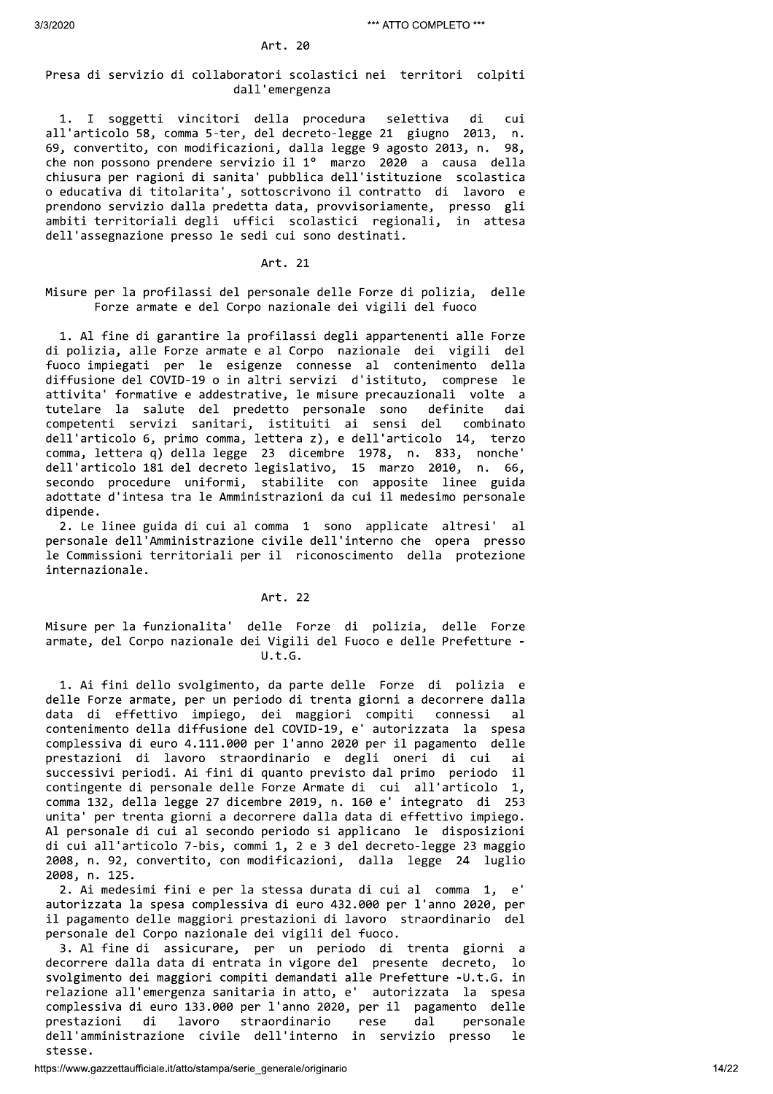30.022<br>
Pross di servate di collectroni securitati nel territori conditti di servate di servate di servate di servate di servate di servate di servate di servate di servate di servate di servate di servate di servate di s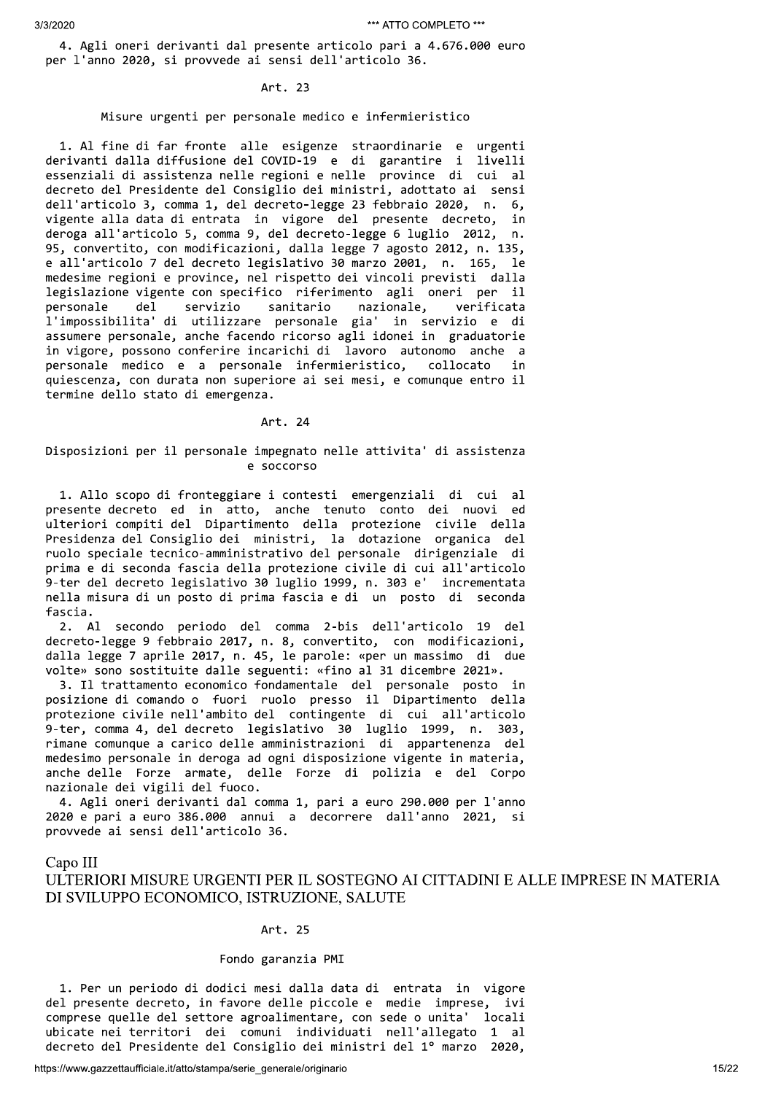4. Agli oneri derivanti dal presente articolo pari a 4.676.000 euro per l'anno 2020, si provvede ai sensi dell'articolo 36.

### Art. 23

# Misure urgenti per personale medico e infermieristico

1. Al fine di far fronte alle esigenze straordinarie e urgenti derivanti dalla diffusione del COVID-19 e di garantire i livelli essenziali di assistenza nelle regioni e nelle province di cui al decreto del Presidente del Consiglio dei ministri, adottato ai sensi dell'articolo 3, comma 1, del decreto-legge 23 febbraio 2020, n. 6, vigente alla data di entrata in vigore del presente decreto, in deroga all'articolo 5, comma 9, del decreto-legge 6 luglio 2012,  $n<sub>1</sub>$ 95, convertito, con modificazioni, dalla legge 7 agosto 2012, n. 135, e all'articolo 7 del decreto legislativo 30 marzo 2001, n. 165, le medesime regioni e province, nel rispetto dei vincoli previsti dalla legislazione vigente con specifico riferimento agli oneri per il personale del servizio sanitario nazionale, verificata l'impossibilita' di utilizzare personale gia' in servizio e di assumere personale, anche facendo ricorso agli idonei in graduatorie in vigore, possono conferire incarichi di lavoro autonomo anche a personale medico e a personale infermieristico, collocato in quiescenza, con durata non superiore ai sei mesi, e comunque entro il termine dello stato di emergenza.

# Art. 24

# Disposizioni per il personale impegnato nelle attivita' di assistenza e soccorso

1. Allo scopo di fronteggiare i contesti emergenziali di cui al presente decreto ed in atto, anche tenuto conto dei nuovi ed ulteriori compiti del Dipartimento della protezione civile della Presidenza del Consiglio dei ministri, la dotazione organica del ruolo speciale tecnico-amministrativo del personale dirigenziale di prima e di seconda fascia della protezione civile di cui all'articolo 9-ter del decreto legislativo 30 luglio 1999, n. 303 e' incrementata nella misura di un posto di prima fascia e di un posto di seconda fascia.

secondo periodo del comma 2-bis dell'articolo 19 del 2. Al decreto-legge 9 febbraio 2017, n. 8, convertito, con modificazioni, dalla legge 7 aprile 2017, n. 45, le parole: «per un massimo di due volte» sono sostituite dalle seguenti: «fino al 31 dicembre 2021».

3. Il trattamento economico fondamentale del personale posto in posizione di comando o fuori ruolo presso il Dipartimento della protezione civile nell'ambito del contingente di cui all'articolo 9-ter, comma 4, del decreto legislativo 30 luglio 1999, n. 303, rimane comunque a carico delle amministrazioni di appartenenza del medesimo personale in deroga ad ogni disposizione vigente in materia, anche delle Forze armate, delle Forze di polizia e del Corpo nazionale dei vigili del fuoco.

4. Agli oneri derivanti dal comma 1, pari a euro 290.000 per l'anno 2020 e pari a euro 386.000 annui a decorrere dall'anno 2021, provvede ai sensi dell'articolo 36.

### Capo III

# ULTERIORI MISURE URGENTI PER IL SOSTEGNO AI CITTADINI E ALLE IMPRESE IN MATERIA DI SVILUPPO ECONOMICO, ISTRUZIONE, SALUTE

### Art. 25

### Fondo garanzia PMI

1. Per un periodo di dodici mesi dalla data di entrata in vigore del presente decreto, in favore delle piccole e medie imprese, ivi comprese quelle del settore agroalimentare, con sede o unita' locali ubicate nei territori dei comuni individuati nell'allegato 1 al decreto del Presidente del Consiglio dei ministri del 1º marzo 2020,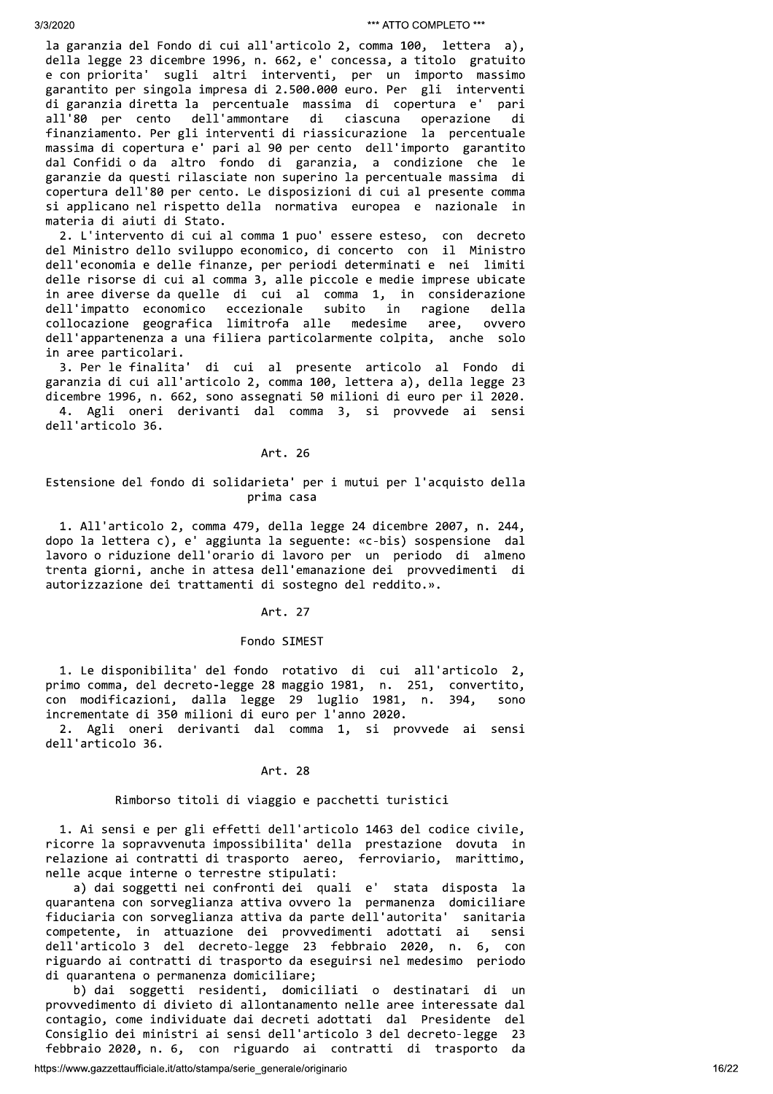la garanzia del Fondo di cui all'articolo 2, comma 100, lettera a), della legge 23 dicembre 1996, n. 662, e' concessa, a titolo gratuito e con priorita' sugli altri interventi, per un importo massimo garantito per singola impresa di 2.500.000 euro. Per gli interventi di garanzia diretta la percentuale massima di copertura e' pari all'80 per cento dell'ammontare operazione di ciascuna di finanziamento. Per gli interventi di riassicurazione la percentuale massima di copertura e' pari al 90 per cento dell'importo garantito dal Confidi o da altro fondo di garanzia, a condizione che le garanzie da questi rilasciate non superino la percentuale massima di copertura dell'80 per cento. Le disposizioni di cui al presente comma si applicano nel rispetto della normativa europea e nazionale in materia di aiuti di Stato.

2. L'intervento di cui al comma 1 puo' essere esteso, con decreto del Ministro dello sviluppo economico, di concerto con il Ministro dell'economia e delle finanze, per periodi determinati e nei limiti delle risorse di cui al comma 3, alle piccole e medie imprese ubicate in aree diverse da quelle di cui al comma 1, in considerazione dell'impatto economico eccezionale subito in ragione della collocazione geografica limitrofa alle medesime aree, ovvero dell'appartenenza a una filiera particolarmente colpita, anche solo in aree particolari.

di cui al presente articolo al Fondo di 3. Per le finalita' garanzia di cui all'articolo 2, comma 100, lettera a), della legge 23 dicembre 1996, n. 662, sono assegnati 50 milioni di euro per il 2020. 4. Agli oneri derivanti dal comma 3, si provvede ai sensi dell'articolo 36.

### Art. 26

# Estensione del fondo di solidarieta' per i mutui per l'acquisto della prima casa

1. All'articolo 2, comma 479, della legge 24 dicembre 2007, n. 244, dopo la lettera c), e' aggiunta la seguente: «c-bis) sospensione dal lavoro o riduzione dell'orario di lavoro per un periodo di almeno trenta giorni, anche in attesa dell'emanazione dei provvedimenti di autorizzazione dei trattamenti di sostegno del reddito.».

### Art. 27

### Fondo SIMEST

1. Le disponibilita' del fondo rotativo di cui all'articolo 2, primo comma, del decreto-legge 28 maggio 1981, n. 251,<br>con modificazioni, dalla legge 29 luglio 1981, n. convertito, 394, sono incrementate di 350 milioni di euro per l'anno 2020.

2. Agli oneri derivanti dal comma 1, si provvede ai sensi dell'articolo 36.

### Art. 28

### Rimborso titoli di viaggio e pacchetti turistici

1. Ai sensi e per gli effetti dell'articolo 1463 del codice civile, ricorre la sopravvenuta impossibilita' della prestazione dovuta in relazione ai contratti di trasporto aereo, ferroviario, marittimo, nelle acque interne o terrestre stipulati:

a) dai soggetti nei confronti dei quali e' stata disposta la quarantena con sorveglianza attiva ovvero la permanenza domiciliare fiduciaria con sorveglianza attiva da parte dell'autorita' sanitaria competente, in attuazione dei provvedimenti adottati ai sensi dell'articolo 3 del decreto-legge 23 febbraio 2020, n. 6, con riguardo ai contratti di trasporto da eseguirsi nel medesimo periodo di quarantena o permanenza domiciliare;

b) dai soggetti residenti, domiciliati o destinatari di un provvedimento di divieto di allontanamento nelle aree interessate dal contagio, come individuate dai decreti adottati dal Presidente del Consiglio dei ministri ai sensi dell'articolo 3 del decreto-legge 23 febbraio 2020, n. 6, con riguardo ai contratti di trasporto da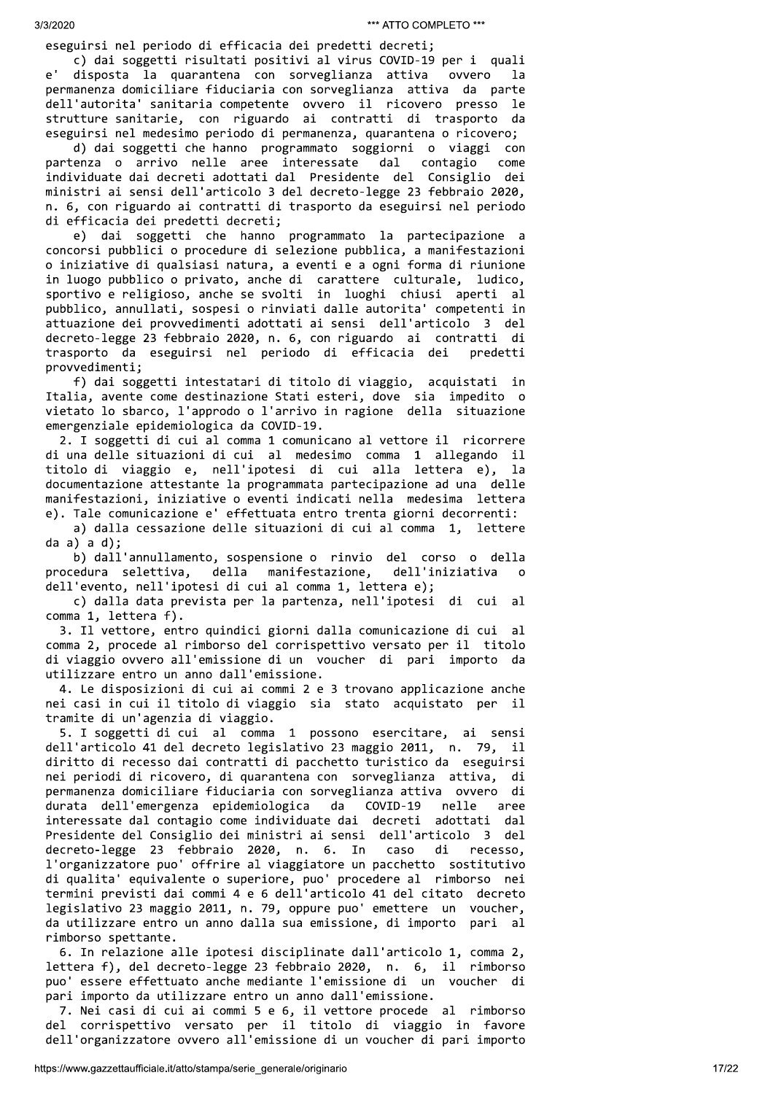2002)<br>
2003<br>
2003<br>
2014 million in Fifthesta del production contents (m. 2016)<br>
2014 million in Fifthesta del production contents (m. 2016)<br>
2014 million in Fifthesta del production contents (m. 2016)<br>
2014 million in Fif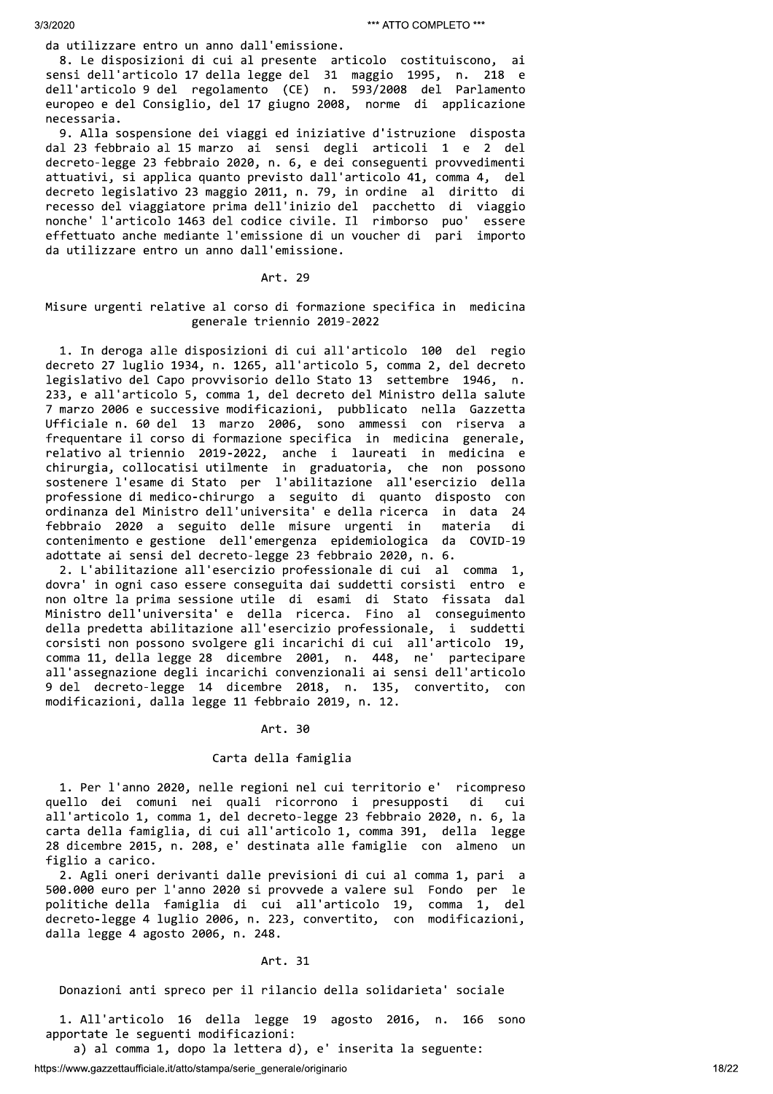da utilizzare entro un anno dall'emissione.

8. Le disposizioni di cui al presente articolo costituiscono, ai sensi dell'articolo 17 della legge del 31 maggio 1995, n. 218 e dell'articolo 9 del regolamento (CE) n. 593/2008 del Parlamento europeo e del Consiglio, del 17 giugno 2008, norme di applicazione necessaria.

9. Alla sospensione dei viaggi ed iniziative d'istruzione disposta dal 23 febbraio al 15 marzo ai sensi degli articoli 1 e 2 del decreto-legge 23 febbraio 2020, n. 6, e dei conseguenti provvedimenti attuativi, si applica quanto previsto dall'articolo 41, comma 4, del decreto legislativo 23 maggio 2011, n. 79, in ordine al diritto di recesso del viaggiatore prima dell'inizio del pacchetto di viaggio nonche' l'articolo 1463 del codice civile. Il rimborso puo' essere effettuato anche mediante l'emissione di un voucher di pari importo da utilizzare entro un anno dall'emissione.

### Art. 29

# Misure urgenti relative al corso di formazione specifica in medicina generale triennio 2019-2022

1. In deroga alle disposizioni di cui all'articolo 100 del regio decreto 27 luglio 1934, n. 1265, all'articolo 5, comma 2, del decreto legislativo del Capo provvisorio dello Stato 13 settembre 1946, n. 233, e all'articolo 5, comma 1, del decreto del Ministro della salute 7 marzo 2006 e successive modificazioni, pubblicato nella Gazzetta Ufficiale n. 60 del 13 marzo 2006, sono ammessi con riserva a frequentare il corso di formazione specifica in medicina generale, relativo al triennio 2019-2022, anche i laureati in medicina e<br>chirurgia, collocatisi utilmente in graduatoria, che non possono<br>sostenere l'esame di Stato per l'abilitazione all'esercizio della professione di medico-chirurgo a seguito di quanto disposto con ordinanza del Ministro dell'universita' e della ricerca in data 24 febbraio 2020 a seguito delle misure urgenti in materia di contenimento e gestione dell'emergenza epidemiologica da COVID-19 adottate ai sensi del decreto-legge 23 febbraio 2020, n. 6.

2. L'abilitazione all'esercizio professionale di cui al comma 1, dovra' in ogni caso essere conseguita dai suddetti corsisti entro e non oltre la prima sessione utile di esami di Stato fissata dal Ministro dell'universita' e della ricerca. Fino al conseguimento della predetta abilitazione all'esercizio professionale, i suddetti corsisti non possono svolgere gli incarichi di cui all'articolo 19, comma 11, della legge 28 dicembre 2001, n. 448, ne' partecipare all'assegnazione degli incarichi convenzionali ai sensi dell'articolo 9 del decreto-legge 14 dicembre 2018, n. 135, convertito, con modificazioni, dalla legge 11 febbraio 2019, n. 12.

### Art. 30

# Carta della famiglia

1. Per l'anno 2020, nelle regioni nel cui territorio e' ricompreso quello dei comuni nei quali ricorrono i presupposti di - cui all'articolo 1, comma 1, del decreto-legge 23 febbraio 2020, n. 6, la carta della famiglia, di cui all'articolo 1, comma 391, della legge 28 dicembre 2015, n. 208, e' destinata alle famiglie con almeno un figlio a carico.

2. Agli oneri derivanti dalle previsioni di cui al comma 1, pari a 500.000 euro per l'anno 2020 si provvede a valere sul Fondo per le<br>politiche della famiglia di cui all'articolo 19, comma 1, del politiche della famiglia di cui all'articolo 19, decreto-legge 4 luglio 2006, n. 223, convertito, con modificazioni, dalla legge 4 agosto 2006, n. 248.

### Art. 31

Donazioni anti spreco per il rilancio della solidarieta' sociale

1. All'articolo 16 della legge 19 agosto 2016, n. 166 sono apportate le seguenti modificazioni:

a) al comma 1, dopo la lettera d), e' inserita la seguente: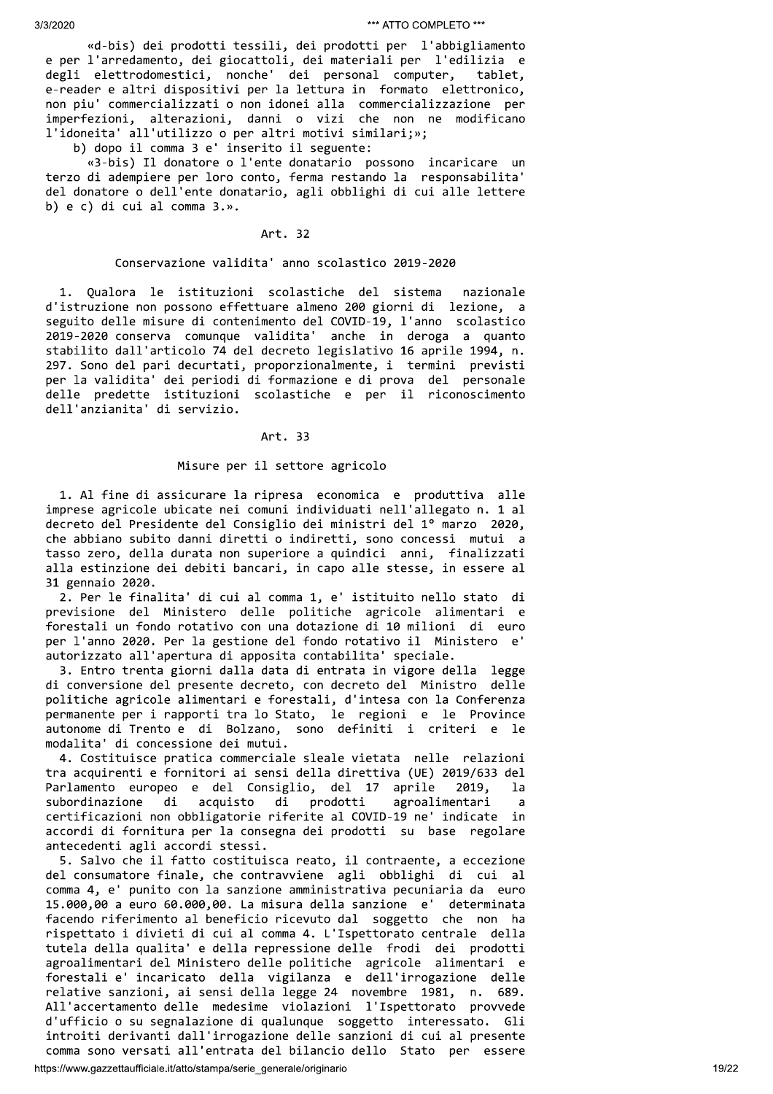30.222<br>
20.222<br>
20.22 (model | pondski | pondski | al prodski | al prodski | al prodski | al participaristi<br>
20.4 (model | al prodski | al participa | al participa | al participaristi<br>
20.4 (model | al participaristic sou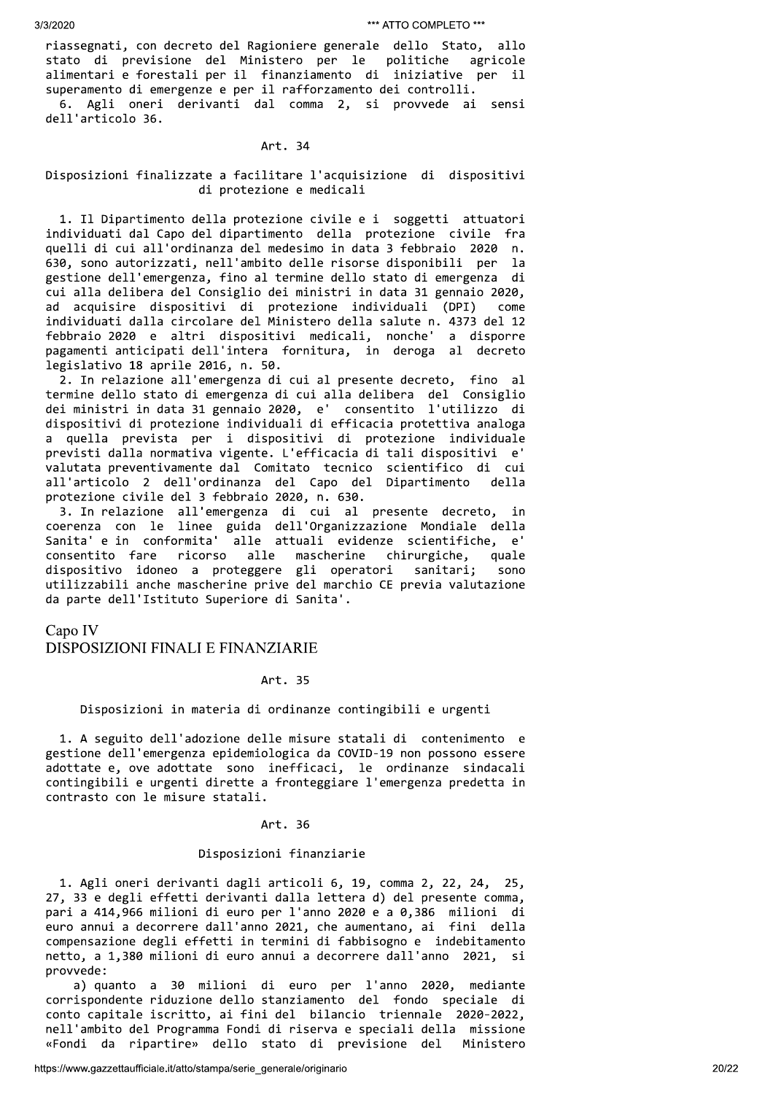riassegnati, con decreto del Ragioniere generale dello Stato, allo politiche stato di previsione del Ministero per le agricole alimentari e forestali per il finanziamento di iniziative per il superamento di emergenze e per il rafforzamento dei controlli. 6. Agli oneri derivanti dal comma 2, si provvede ai sensi dell'articolo 36.

### Art. 34

# Disposizioni finalizzate a facilitare l'acquisizione di dispositivi di protezione e medicali

1. Il Dipartimento della protezione civile e i soggetti attuatori individuati dal Capo del dipartimento della protezione civile fra quelli di cui all'ordinanza del medesimo in data 3 febbraio 2020 n. 630, sono autorizzati, nell'ambito delle risorse disponibili per la gestione dell'emergenza, fino al termine dello stato di emergenza di cui alla delibera del Consiglio dei ministri in data 31 gennaio 2020, ad acquisire dispositivi di protezione individuali (DPI) come individuati dalla circolare del Ministero della salute n. 4373 del 12 febbraio 2020 e altri dispositivi medicali, nonche' a disporre pagamenti anticipati dell'intera fornitura, in deroga al decreto legislativo 18 aprile 2016, n. 50.

2. In relazione all'emergenza di cui al presente decreto, fino al termine dello stato di emergenza di cui alla delibera del Consiglio dei ministri in data 31 gennaio 2020, e' consentito l'utilizzo di dispositivi di protezione individuali di efficacia protettiva analoga quella prevista per i dispositivi di protezione individuale  $\overline{a}$ previsti dalla normativa vigente. L'efficacia di tali dispositivi e' valutata preventivamente dal Comitato tecnico scientifico di cui all'articolo 2 dell'ordinanza del Capo del Dipartimento della protezione civile del 3 febbraio 2020, n. 630.

3. In relazione all'emergenza di cui al presente decreto, in coerenza con le linee guida dell'Organizzazione Mondiale della Sanita' e in conformita' alle attuali evidenze scientifiche, e' consentito fare ricorso alle mascherine chirurgiche, quale dispositivo idoneo a proteggere gli operatori sanitari; sono utilizzabili anche mascherine prive del marchio CE previa valutazione da parte dell'Istituto Superiore di Sanita'.

Capo IV

# DISPOSIZIONI FINALI E FINANZIARIE

# Art. 35

### Disposizioni in materia di ordinanze contingibili e urgenti

1. A seguito dell'adozione delle misure statali di contenimento e gestione dell'emergenza epidemiologica da COVID-19 non possono essere adottate e, ove adottate sono inefficaci, le ordinanze sindacali contingibili e urgenti dirette a fronteggiare l'emergenza predetta in contrasto con le misure statali.

### Art. 36

### Disposizioni finanziarie

1. Agli oneri derivanti dagli articoli 6, 19, comma 2, 22, 24, 25, 27, 33 e degli effetti derivanti dalla lettera d) del presente comma, pari a 414,966 milioni di euro per l'anno 2020 e a 0,386 milioni di euro annui a decorrere dall'anno 2021, che aumentano, ai fini della compensazione degli effetti in termini di fabbisogno e indebitamento netto, a 1,380 milioni di euro annui a decorrere dall'anno 2021, - si provvede:

a) quanto a 30 milioni di euro per l'anno 2020, mediante corrispondente riduzione dello stanziamento del fondo speciale di conto capitale iscritto, ai fini del bilancio triennale 2020-2022, nell'ambito del Programma Fondi di riserva e speciali della missione «Fondi da ripartire» dello stato di previsione del Ministero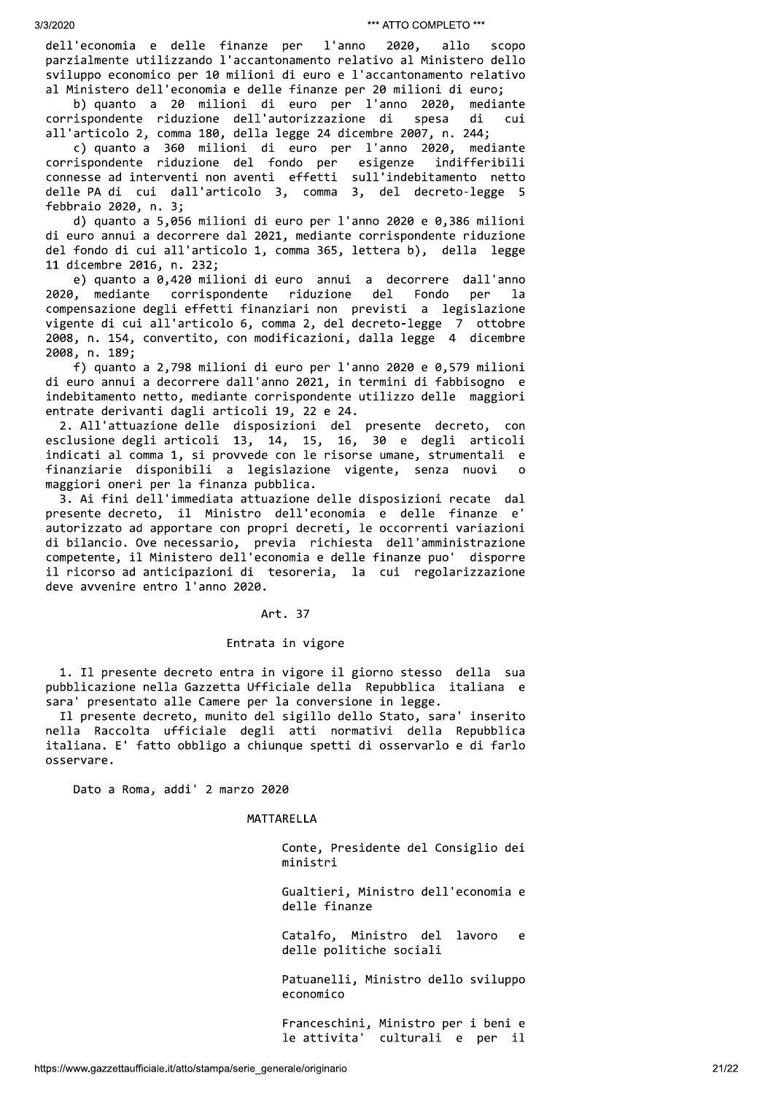l'anno dell'economia e delle finanze per 2020, allo scopo parzialmente utilizzando l'accantonamento relativo al Ministero dello sviluppo economico per 10 milioni di euro e l'accantonamento relativo al Ministero dell'economia e delle finanze per 20 milioni di euro;

b) quanto a 20 milioni di euro per l'anno 2020, mediante corrispondente riduzione dell'autorizzazione di spesa di cui all'articolo 2, comma 180, della legge 24 dicembre 2007, n. 244;

c) quanto a 360 milioni di euro per l'anno 2020, mediante corrispondente riduzione del fondo per esigenze indifferibili connesse ad interventi non aventi effetti sull'indebitamento netto delle PA di cui dall'articolo 3, comma 3, del decreto-legge 5 febbraio 2020, n. 3;

d) quanto a 5,056 milioni di euro per l'anno 2020 e 0,386 milioni di euro annui a decorrere dal 2021, mediante corrispondente riduzione del fondo di cui all'articolo 1, comma 365, lettera b), della legge 11 dicembre 2016, n. 232;

e) quanto a 0,420 milioni di euro annui a decorrere dall'anno Fondo corrispondente riduzione 2020, mediante del per  $1a$ compensazione degli effetti finanziari non previsti a legislazione vigente di cui all'articolo 6, comma 2, del decreto-legge 7 ottobre 2008, n. 154, convertito, con modificazioni, dalla legge 4 dicembre 2008, n. 189;

f) quanto a 2,798 milioni di euro per l'anno 2020 e 0,579 milioni di euro annui a decorrere dall'anno 2021, in termini di fabbisogno e indebitamento netto, mediante corrispondente utilizzo delle maggiori entrate derivanti dagli articoli 19, 22 e 24.

2. All'attuazione delle disposizioni del presente decreto, con esclusione degli articoli 13, 14, 15, 16, 30 e degli articoli indicati al comma 1, si provvede con le risorse umane, strumentali e finanziarie disponibili a legislazione vigente, senza nuovi maggiori oneri per la finanza pubblica.

3. Ai fini dell'immediata attuazione delle disposizioni recate dal presente decreto, il Ministro dell'economia e delle finanze e' autorizzato ad apportare con propri decreti, le occorrenti variazioni di bilancio. Ove necessario, previa richiesta dell'amministrazione competente, il Ministero dell'economia e delle finanze puo' disporre il ricorso ad anticipazioni di tesoreria, la cui regolarizzazione deve avvenire entro l'anno 2020.

### Art. 37

## Entrata in vigore

1. Il presente decreto entra in vigore il giorno stesso della sua pubblicazione nella Gazzetta Ufficiale della Repubblica italiana e sara' presentato alle Camere per la conversione in legge.

Il presente decreto, munito del sigillo dello Stato, sara' inserito nella Raccolta ufficiale degli atti normativi della Repubblica italiana. E' fatto obbligo a chiunque spetti di osservarlo e di farlo osservare.

Dato a Roma, addi' 2 marzo 2020

MATTARELLA

Conte, Presidente del Consiglio dei ministri

Gualtieri, Ministro dell'economia e delle finanze

Catalfo, Ministro del lavoro  $\epsilon$ delle politiche sociali

Patuanelli, Ministro dello sviluppo economico

Franceschini, Ministro per i beni e culturali e per il le attivita'